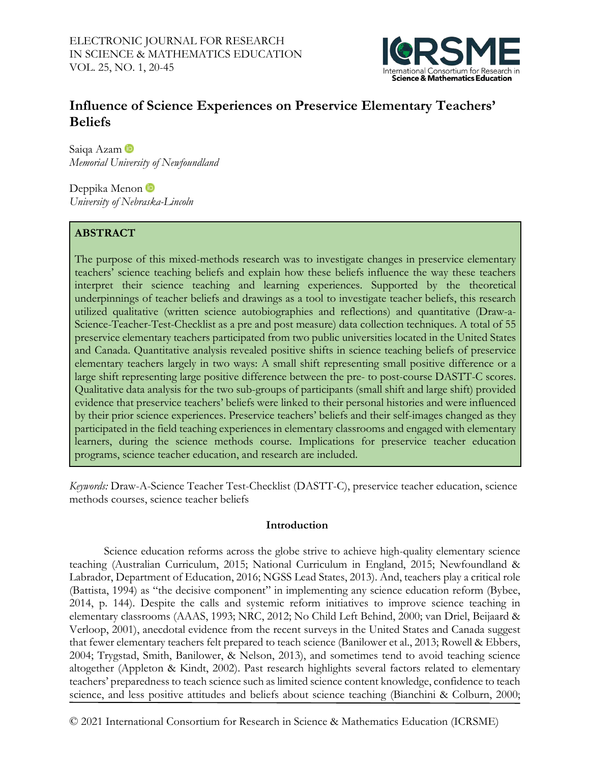

# **Influence of Science Experiences on Preservice Elementary Teachers' Beliefs**

Saiqa Azam *Memorial University of Newfoundland*

DeppikaMenon *University of Nebraska-Lincoln*

# **ABSTRACT**

The purpose of this mixed-methods research was to investigate changes in preservice elementary teachers' science teaching beliefs and explain how these beliefs influence the way these teachers interpret their science teaching and learning experiences. Supported by the theoretical underpinnings of teacher beliefs and drawings as a tool to investigate teacher beliefs, this research utilized qualitative (written science autobiographies and reflections) and quantitative (Draw-a-Science-Teacher-Test-Checklist as a pre and post measure) data collection techniques. A total of 55 preservice elementary teachers participated from two public universities located in the United States and Canada. Quantitative analysis revealed positive shifts in science teaching beliefs of preservice elementary teachers largely in two ways: A small shift representing small positive difference or a large shift representing large positive difference between the pre- to post-course DASTT-C scores. Qualitative data analysis for the two sub-groups of participants (small shift and large shift) provided evidence that preservice teachers' beliefs were linked to their personal histories and were influenced by their prior science experiences. Preservice teachers' beliefs and their self-images changed as they participated in the field teaching experiences in elementary classrooms and engaged with elementary learners, during the science methods course. Implications for preservice teacher education programs, science teacher education, and research are included.

*Keywords:* Draw-A-Science Teacher Test-Checklist (DASTT-C), preservice teacher education, science methods courses, science teacher beliefs

## **Introduction**

Science education reforms across the globe strive to achieve high-quality elementary science teaching (Australian Curriculum, 2015; National Curriculum in England, 2015; Newfoundland & Labrador, Department of Education, 2016; NGSS Lead States, 2013). And, teachers play a critical role (Battista, 1994) as "the decisive component" in implementing any science education reform (Bybee, 2014, p. 144). Despite the calls and systemic reform initiatives to improve science teaching in elementary classrooms (AAAS, 1993; NRC, 2012; No Child Left Behind, 2000; van Driel, Beijaard & Verloop, 2001), anecdotal evidence from the recent surveys in the United States and Canada suggest that fewer elementary teachers felt prepared to teach science (Banilower et al., 2013; Rowell & Ebbers, 2004; Trygstad, Smith, Banilower, & Nelson, 2013), and sometimes tend to avoid teaching science altogether (Appleton & Kindt, 2002). Past research highlights several factors related to elementary teachers' preparedness to teach science such as limited science content knowledge, confidence to teach science, and less positive attitudes and beliefs about science teaching (Bianchini & Colburn, 2000;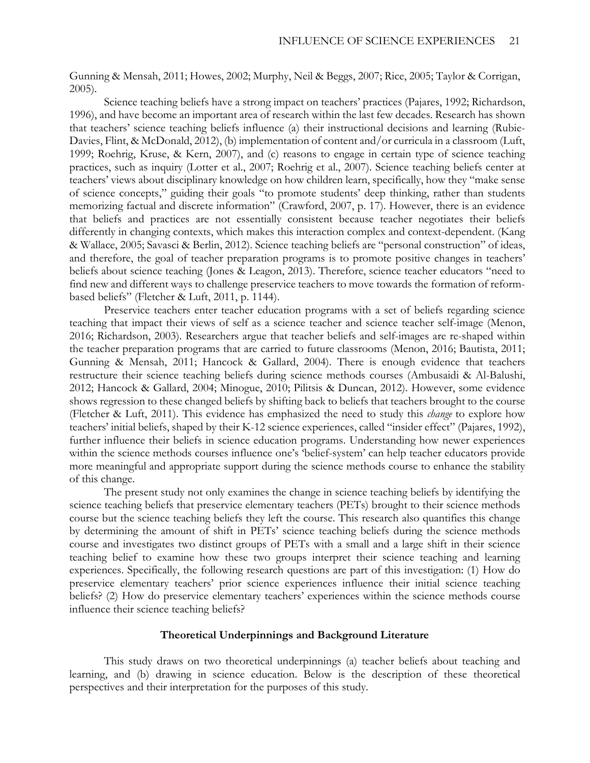Gunning & Mensah, 2011; Howes, 2002; Murphy, Neil & Beggs, 2007; Rice, 2005; Taylor & Corrigan, 2005).

Science teaching beliefs have a strong impact on teachers' practices (Pajares, 1992; Richardson, 1996), and have become an important area of research within the last few decades. Research has shown that teachers' science teaching beliefs influence (a) their instructional decisions and learning (Rubie-Davies, Flint, & McDonald, 2012), (b) implementation of content and/or curricula in a classroom (Luft, 1999; Roehrig, Kruse, & Kern, 2007), and (c) reasons to engage in certain type of science teaching practices, such as inquiry (Lotter et al., 2007; Roehrig et al., 2007). Science teaching beliefs center at teachers' views about disciplinary knowledge on how children learn, specifically, how they "make sense of science concepts," guiding their goals "to promote students' deep thinking, rather than students memorizing factual and discrete information" (Crawford, 2007, p. 17). However, there is an evidence that beliefs and practices are not essentially consistent because teacher negotiates their beliefs differently in changing contexts, which makes this interaction complex and context-dependent. (Kang & Wallace, 2005; Savasci & Berlin, 2012). Science teaching beliefs are "personal construction" of ideas, and therefore, the goal of teacher preparation programs is to promote positive changes in teachers' beliefs about science teaching (Jones & Leagon, 2013). Therefore, science teacher educators "need to find new and different ways to challenge preservice teachers to move towards the formation of reformbased beliefs" (Fletcher & Luft, 2011, p. 1144).

Preservice teachers enter teacher education programs with a set of beliefs regarding science teaching that impact their views of self as a science teacher and science teacher self-image (Menon, 2016; Richardson, 2003). Researchers argue that teacher beliefs and self-images are re-shaped within the teacher preparation programs that are carried to future classrooms (Menon, 2016; Bautista, 2011; Gunning & Mensah, 2011; Hancock & Gallard, 2004). There is enough evidence that teachers restructure their science teaching beliefs during science methods courses (Ambusaidi & Al-Balushi, 2012; Hancock & Gallard, 2004; Minogue, 2010; Pilitsis & Duncan, 2012). However, some evidence shows regression to these changed beliefs by shifting back to beliefs that teachers brought to the course (Fletcher & Luft, 2011). This evidence has emphasized the need to study this *change* to explore how teachers' initial beliefs, shaped by their K-12 science experiences, called "insider effect" (Pajares, 1992), further influence their beliefs in science education programs. Understanding how newer experiences within the science methods courses influence one's 'belief-system' can help teacher educators provide more meaningful and appropriate support during the science methods course to enhance the stability of this change.

The present study not only examines the change in science teaching beliefs by identifying the science teaching beliefs that preservice elementary teachers (PETs) brought to their science methods course but the science teaching beliefs they left the course. This research also quantifies this change by determining the amount of shift in PETs' science teaching beliefs during the science methods course and investigates two distinct groups of PETs with a small and a large shift in their science teaching belief to examine how these two groups interpret their science teaching and learning experiences. Specifically, the following research questions are part of this investigation: (1) How do preservice elementary teachers' prior science experiences influence their initial science teaching beliefs? (2) How do preservice elementary teachers' experiences within the science methods course influence their science teaching beliefs?

#### **Theoretical Underpinnings and Background Literature**

This study draws on two theoretical underpinnings (a) teacher beliefs about teaching and learning, and (b) drawing in science education. Below is the description of these theoretical perspectives and their interpretation for the purposes of this study.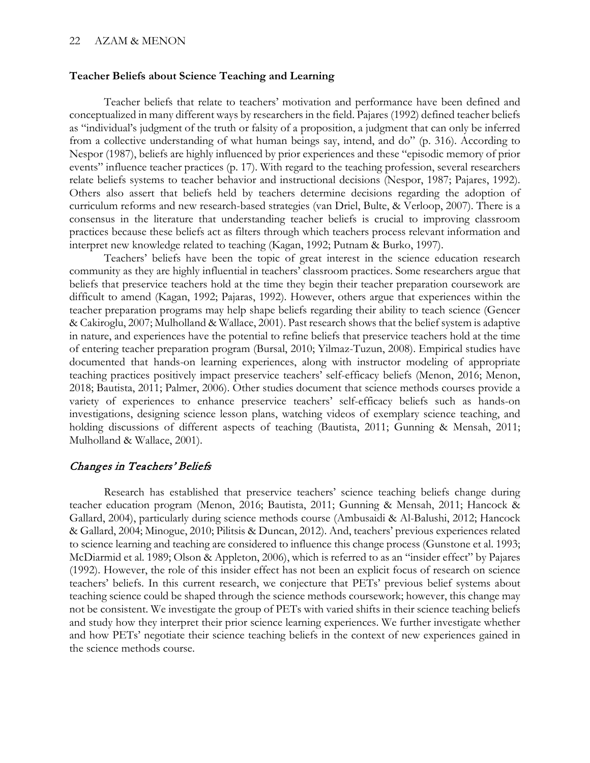#### **Teacher Beliefs about Science Teaching and Learning**

Teacher beliefs that relate to teachers' motivation and performance have been defined and conceptualized in many different ways by researchers in the field. Pajares (1992) defined teacher beliefs as "individual's judgment of the truth or falsity of a proposition, a judgment that can only be inferred from a collective understanding of what human beings say, intend, and do" (p. 316). According to Nespor (1987), beliefs are highly influenced by prior experiences and these "episodic memory of prior events" influence teacher practices (p. 17). With regard to the teaching profession, several researchers relate beliefs systems to teacher behavior and instructional decisions (Nespor, 1987; Pajares, 1992). Others also assert that beliefs held by teachers determine decisions regarding the adoption of curriculum reforms and new research-based strategies (van Driel, Bulte, & Verloop, 2007). There is a consensus in the literature that understanding teacher beliefs is crucial to improving classroom practices because these beliefs act as filters through which teachers process relevant information and interpret new knowledge related to teaching (Kagan, 1992; Putnam & Burko, 1997).

Teachers' beliefs have been the topic of great interest in the science education research community as they are highly influential in teachers' classroom practices. Some researchers argue that beliefs that preservice teachers hold at the time they begin their teacher preparation coursework are difficult to amend (Kagan, 1992; Pajaras, 1992). However, others argue that experiences within the teacher preparation programs may help shape beliefs regarding their ability to teach science (Gencer & Cakiroglu, 2007; Mulholland & Wallace, 2001). Past research shows that the belief system is adaptive in nature, and experiences have the potential to refine beliefs that preservice teachers hold at the time of entering teacher preparation program (Bursal, 2010; Yilmaz-Tuzun, 2008). Empirical studies have documented that hands-on learning experiences, along with instructor modeling of appropriate teaching practices positively impact preservice teachers' self-efficacy beliefs (Menon, 2016; Menon, 2018; Bautista, 2011; Palmer, 2006). Other studies document that science methods courses provide a variety of experiences to enhance preservice teachers' self-efficacy beliefs such as hands-on investigations, designing science lesson plans, watching videos of exemplary science teaching, and holding discussions of different aspects of teaching (Bautista, 2011; Gunning & Mensah, 2011; Mulholland & Wallace, 2001).

### Changes in Teachers' Beliefs

Research has established that preservice teachers' science teaching beliefs change during teacher education program (Menon, 2016; Bautista, 2011; Gunning & Mensah, 2011; Hancock & Gallard, 2004), particularly during science methods course (Ambusaidi & Al-Balushi, 2012; Hancock & Gallard, 2004; Minogue, 2010; Pilitsis & Duncan, 2012). And, teachers' previous experiences related to science learning and teaching are considered to influence this change process (Gunstone et al. 1993; McDiarmid et al. 1989; Olson & Appleton, 2006), which is referred to as an "insider effect" by Pajares (1992). However, the role of this insider effect has not been an explicit focus of research on science teachers' beliefs. In this current research, we conjecture that PETs' previous belief systems about teaching science could be shaped through the science methods coursework; however, this change may not be consistent. We investigate the group of PETs with varied shifts in their science teaching beliefs and study how they interpret their prior science learning experiences. We further investigate whether and how PETs' negotiate their science teaching beliefs in the context of new experiences gained in the science methods course.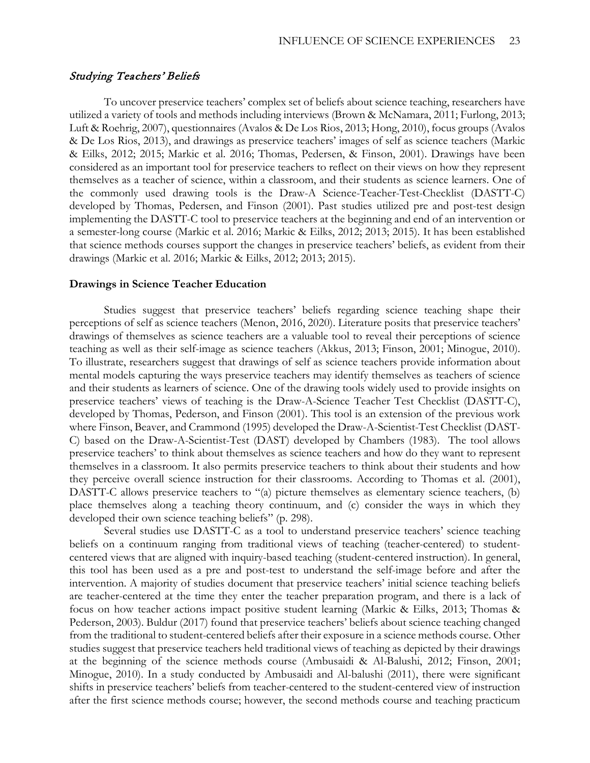#### Studying Teachers' Beliefs

To uncover preservice teachers' complex set of beliefs about science teaching, researchers have utilized a variety of tools and methods including interviews (Brown & McNamara, 2011; Furlong, 2013; Luft & Roehrig, 2007), questionnaires (Avalos & De Los Rios, 2013; Hong, 2010), focus groups (Avalos & De Los Rios, 2013), and drawings as preservice teachers' images of self as science teachers (Markic & Eilks, 2012; 2015; Markic et al. 2016; Thomas, Pedersen, & Finson, 2001). Drawings have been considered as an important tool for preservice teachers to reflect on their views on how they represent themselves as a teacher of science, within a classroom, and their students as science learners. One of the commonly used drawing tools is the Draw-A Science-Teacher-Test-Checklist (DASTT-C) developed by Thomas, Pedersen, and Finson (2001). Past studies utilized pre and post-test design implementing the DASTT-C tool to preservice teachers at the beginning and end of an intervention or a semester-long course (Markic et al. 2016; Markic & Eilks, 2012; 2013; 2015). It has been established that science methods courses support the changes in preservice teachers' beliefs, as evident from their drawings (Markic et al. 2016; Markic & Eilks, 2012; 2013; 2015).

#### **Drawings in Science Teacher Education**

Studies suggest that preservice teachers' beliefs regarding science teaching shape their perceptions of self as science teachers (Menon, 2016, 2020). Literature posits that preservice teachers' drawings of themselves as science teachers are a valuable tool to reveal their perceptions of science teaching as well as their self-image as science teachers (Akkus, 2013; Finson, 2001; Minogue, 2010). To illustrate, researchers suggest that drawings of self as science teachers provide information about mental models capturing the ways preservice teachers may identify themselves as teachers of science and their students as learners of science. One of the drawing tools widely used to provide insights on preservice teachers' views of teaching is the Draw-A-Science Teacher Test Checklist (DASTT-C), developed by Thomas, Pederson, and Finson (2001). This tool is an extension of the previous work where Finson, Beaver, and Crammond (1995) developed the Draw-A-Scientist-Test Checklist (DAST-C) based on the Draw-A-Scientist-Test (DAST) developed by Chambers (1983). The tool allows preservice teachers' to think about themselves as science teachers and how do they want to represent themselves in a classroom. It also permits preservice teachers to think about their students and how they perceive overall science instruction for their classrooms. According to Thomas et al. (2001), DASTT-C allows preservice teachers to "(a) picture themselves as elementary science teachers, (b) place themselves along a teaching theory continuum, and (c) consider the ways in which they developed their own science teaching beliefs" (p. 298).

Several studies use DASTT-C as a tool to understand preservice teachers' science teaching beliefs on a continuum ranging from traditional views of teaching (teacher-centered) to studentcentered views that are aligned with inquiry-based teaching (student-centered instruction). In general, this tool has been used as a pre and post-test to understand the self-image before and after the intervention. A majority of studies document that preservice teachers' initial science teaching beliefs are teacher-centered at the time they enter the teacher preparation program, and there is a lack of focus on how teacher actions impact positive student learning (Markic & Eilks, 2013; Thomas & Pederson, 2003). Buldur (2017) found that preservice teachers' beliefs about science teaching changed from the traditional to student-centered beliefs after their exposure in a science methods course. Other studies suggest that preservice teachers held traditional views of teaching as depicted by their drawings at the beginning of the science methods course (Ambusaidi & Al-Balushi, 2012; Finson, 2001; Minogue, 2010). In a study conducted by Ambusaidi and Al-balushi (2011), there were significant shifts in preservice teachers' beliefs from teacher-centered to the student-centered view of instruction after the first science methods course; however, the second methods course and teaching practicum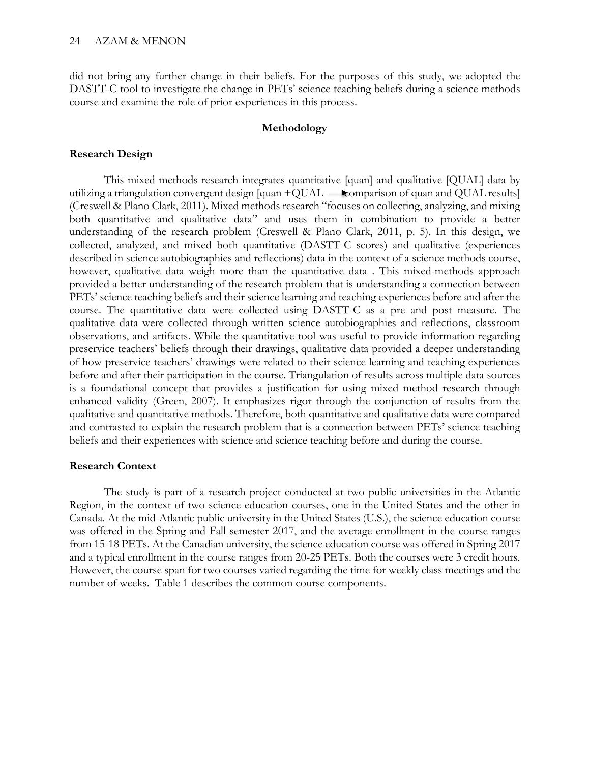did not bring any further change in their beliefs. For the purposes of this study, we adopted the DASTT-C tool to investigate the change in PETs' science teaching beliefs during a science methods course and examine the role of prior experiences in this process.

### **Methodology**

### **Research Design**

This mixed methods research integrates quantitative [quan] and qualitative [QUAL] data by utilizing a triangulation convergent design [quan +QUAL  $\rightarrow$  comparison of quan and QUAL results] (Creswell & Plano Clark, 2011). Mixed methods research "focuses on collecting, analyzing, and mixing both quantitative and qualitative data" and uses them in combination to provide a better understanding of the research problem (Creswell & Plano Clark, 2011, p. 5). In this design, we collected, analyzed, and mixed both quantitative (DASTT-C scores) and qualitative (experiences described in science autobiographies and reflections) data in the context of a science methods course, however, qualitative data weigh more than the quantitative data . This mixed-methods approach provided a better understanding of the research problem that is understanding a connection between PETs' science teaching beliefs and their science learning and teaching experiences before and after the course. The quantitative data were collected using DASTT-C as a pre and post measure. The qualitative data were collected through written science autobiographies and reflections, classroom observations, and artifacts. While the quantitative tool was useful to provide information regarding preservice teachers' beliefs through their drawings, qualitative data provided a deeper understanding of how preservice teachers' drawings were related to their science learning and teaching experiences before and after their participation in the course. Triangulation of results across multiple data sources is a foundational concept that provides a justification for using mixed method research through enhanced validity (Green, 2007). It emphasizes rigor through the conjunction of results from the qualitative and quantitative methods. Therefore, both quantitative and qualitative data were compared and contrasted to explain the research problem that is a connection between PETs' science teaching beliefs and their experiences with science and science teaching before and during the course.

#### **Research Context**

The study is part of a research project conducted at two public universities in the Atlantic Region, in the context of two science education courses, one in the United States and the other in Canada. At the mid-Atlantic public university in the United States (U.S.), the science education course was offered in the Spring and Fall semester 2017, and the average enrollment in the course ranges from 15-18 PETs. At the Canadian university, the science education course was offered in Spring 2017 and a typical enrollment in the course ranges from 20-25 PETs. Both the courses were 3 credit hours. However, the course span for two courses varied regarding the time for weekly class meetings and the number of weeks. Table 1 describes the common course components.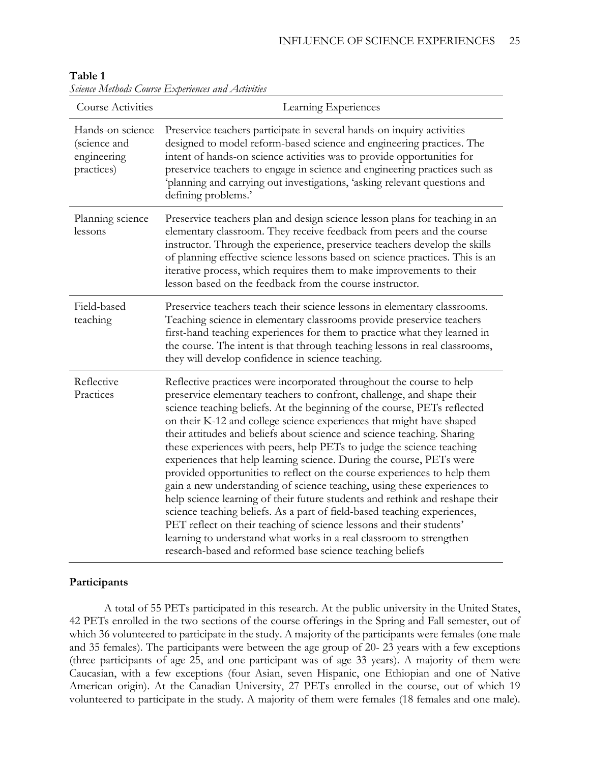| Course Activities                                             | $D$ uunu Iniumous $C$ omise $D$ openunus unu 2 ilmuut<br>Learning Experiences                                                                                                                                                                                                                                                                                                                                                                                                                                                                                                                                                                                                                                                                                                                                                                                                                                                                                                                                                                                  |
|---------------------------------------------------------------|----------------------------------------------------------------------------------------------------------------------------------------------------------------------------------------------------------------------------------------------------------------------------------------------------------------------------------------------------------------------------------------------------------------------------------------------------------------------------------------------------------------------------------------------------------------------------------------------------------------------------------------------------------------------------------------------------------------------------------------------------------------------------------------------------------------------------------------------------------------------------------------------------------------------------------------------------------------------------------------------------------------------------------------------------------------|
| Hands-on science<br>(science and<br>engineering<br>practices) | Preservice teachers participate in several hands-on inquiry activities<br>designed to model reform-based science and engineering practices. The<br>intent of hands-on science activities was to provide opportunities for<br>preservice teachers to engage in science and engineering practices such as<br>'planning and carrying out investigations, 'asking relevant questions and<br>defining problems.'                                                                                                                                                                                                                                                                                                                                                                                                                                                                                                                                                                                                                                                    |
| Planning science<br>lessons                                   | Preservice teachers plan and design science lesson plans for teaching in an<br>elementary classroom. They receive feedback from peers and the course<br>instructor. Through the experience, preservice teachers develop the skills<br>of planning effective science lessons based on science practices. This is an<br>iterative process, which requires them to make improvements to their<br>lesson based on the feedback from the course instructor.                                                                                                                                                                                                                                                                                                                                                                                                                                                                                                                                                                                                         |
| Field-based<br>teaching                                       | Preservice teachers teach their science lessons in elementary classrooms.<br>Teaching science in elementary classrooms provide preservice teachers<br>first-hand teaching experiences for them to practice what they learned in<br>the course. The intent is that through teaching lessons in real classrooms,<br>they will develop confidence in science teaching.                                                                                                                                                                                                                                                                                                                                                                                                                                                                                                                                                                                                                                                                                            |
| Reflective<br>Practices                                       | Reflective practices were incorporated throughout the course to help<br>preservice elementary teachers to confront, challenge, and shape their<br>science teaching beliefs. At the beginning of the course, PETs reflected<br>on their K-12 and college science experiences that might have shaped<br>their attitudes and beliefs about science and science teaching. Sharing<br>these experiences with peers, help PETs to judge the science teaching<br>experiences that help learning science. During the course, PETs were<br>provided opportunities to reflect on the course experiences to help them<br>gain a new understanding of science teaching, using these experiences to<br>help science learning of their future students and rethink and reshape their<br>science teaching beliefs. As a part of field-based teaching experiences,<br>PET reflect on their teaching of science lessons and their students'<br>learning to understand what works in a real classroom to strengthen<br>research-based and reformed base science teaching beliefs |

## **Table 1**

*Science Methods Course Experiences and Activities*

## **Participants**

A total of 55 PETs participated in this research. At the public university in the United States, 42 PETs enrolled in the two sections of the course offerings in the Spring and Fall semester, out of which 36 volunteered to participate in the study. A majority of the participants were females (one male and 35 females). The participants were between the age group of 20- 23 years with a few exceptions (three participants of age 25, and one participant was of age 33 years). A majority of them were Caucasian, with a few exceptions (four Asian, seven Hispanic, one Ethiopian and one of Native American origin). At the Canadian University, 27 PETs enrolled in the course, out of which 19 volunteered to participate in the study. A majority of them were females (18 females and one male).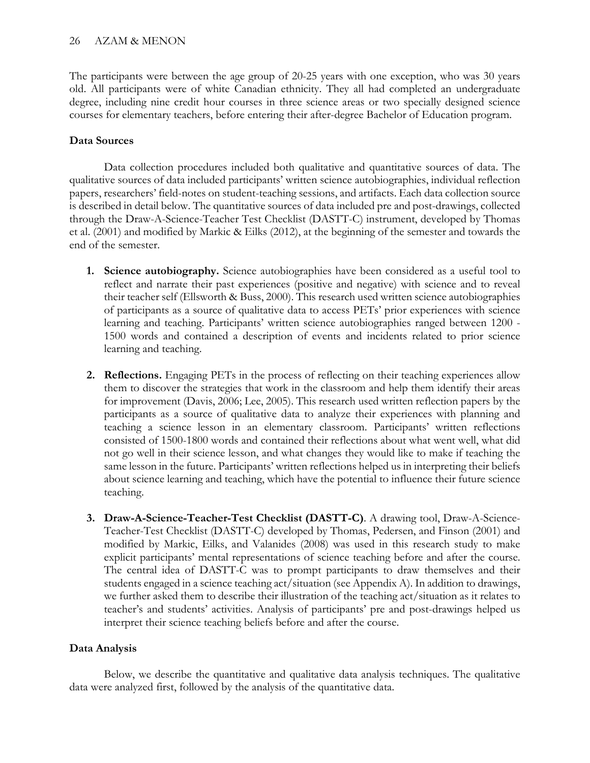The participants were between the age group of 20-25 years with one exception, who was 30 years old. All participants were of white Canadian ethnicity. They all had completed an undergraduate degree, including nine credit hour courses in three science areas or two specially designed science courses for elementary teachers, before entering their after-degree Bachelor of Education program.

# **Data Sources**

Data collection procedures included both qualitative and quantitative sources of data. The qualitative sources of data included participants' written science autobiographies, individual reflection papers, researchers' field-notes on student-teaching sessions, and artifacts. Each data collection source is described in detail below. The quantitative sources of data included pre and post-drawings, collected through the Draw-A-Science-Teacher Test Checklist (DASTT-C) instrument, developed by Thomas et al. (2001) and modified by Markic & Eilks (2012), at the beginning of the semester and towards the end of the semester.

- **1. Science autobiography.** Science autobiographies have been considered as a useful tool to reflect and narrate their past experiences (positive and negative) with science and to reveal their teacher self (Ellsworth & Buss, 2000). This research used written science autobiographies of participants as a source of qualitative data to access PETs' prior experiences with science learning and teaching. Participants' written science autobiographies ranged between 1200 - 1500 words and contained a description of events and incidents related to prior science learning and teaching.
- **2. Reflections.** Engaging PETs in the process of reflecting on their teaching experiences allow them to discover the strategies that work in the classroom and help them identify their areas for improvement (Davis, 2006; Lee, 2005). This research used written reflection papers by the participants as a source of qualitative data to analyze their experiences with planning and teaching a science lesson in an elementary classroom. Participants' written reflections consisted of 1500-1800 words and contained their reflections about what went well, what did not go well in their science lesson, and what changes they would like to make if teaching the same lesson in the future. Participants' written reflections helped us in interpreting their beliefs about science learning and teaching, which have the potential to influence their future science teaching.
- **3. Draw-A-Science-Teacher-Test Checklist (DASTT-C)**. A drawing tool, Draw-A-Science-Teacher-Test Checklist (DASTT-C) developed by Thomas, Pedersen, and Finson (2001) and modified by Markic, Eilks, and Valanides (2008) was used in this research study to make explicit participants' mental representations of science teaching before and after the course. The central idea of DASTT-C was to prompt participants to draw themselves and their students engaged in a science teaching act/situation (see Appendix A). In addition to drawings, we further asked them to describe their illustration of the teaching act/situation as it relates to teacher's and students' activities. Analysis of participants' pre and post-drawings helped us interpret their science teaching beliefs before and after the course.

# **Data Analysis**

Below, we describe the quantitative and qualitative data analysis techniques. The qualitative data were analyzed first, followed by the analysis of the quantitative data.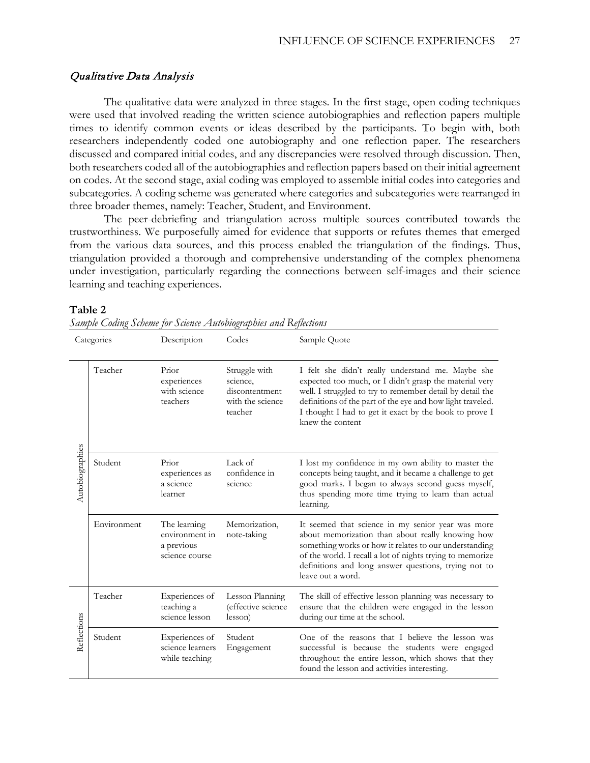## Qualitative Data Analysis

The qualitative data were analyzed in three stages. In the first stage, open coding techniques were used that involved reading the written science autobiographies and reflection papers multiple times to identify common events or ideas described by the participants. To begin with, both researchers independently coded one autobiography and one reflection paper. The researchers discussed and compared initial codes, and any discrepancies were resolved through discussion. Then, both researchers coded all of the autobiographies and reflection papers based on their initial agreement on codes. At the second stage, axial coding was employed to assemble initial codes into categories and subcategories. A coding scheme was generated where categories and subcategories were rearranged in three broader themes, namely: Teacher, Student, and Environment.

The peer-debriefing and triangulation across multiple sources contributed towards the trustworthiness. We purposefully aimed for evidence that supports or refutes themes that emerged from the various data sources, and this process enabled the triangulation of the findings. Thus, triangulation provided a thorough and comprehensive understanding of the complex phenomena under investigation, particularly regarding the connections between self-images and their science learning and teaching experiences.

#### **Table 2**

|  |  | Sample Coding Scheme for Science Autobiographies and Reflections |
|--|--|------------------------------------------------------------------|

| Categories      |             | Description                                                    | Codes                                                                      | Sample Quote                                                                                                                                                                                                                                                                                                         |
|-----------------|-------------|----------------------------------------------------------------|----------------------------------------------------------------------------|----------------------------------------------------------------------------------------------------------------------------------------------------------------------------------------------------------------------------------------------------------------------------------------------------------------------|
|                 | Teacher     | Prior<br>experiences<br>with science<br>teachers               | Struggle with<br>science,<br>discontentment<br>with the science<br>teacher | I felt she didn't really understand me. Maybe she<br>expected too much, or I didn't grasp the material very<br>well. I struggled to try to remember detail by detail the<br>definitions of the part of the eye and how light traveled.<br>I thought I had to get it exact by the book to prove I<br>knew the content |
| Autobiographies | Student     | Prior<br>experiences as<br>a science<br>learner                | Lack of<br>confidence in<br>science                                        | I lost my confidence in my own ability to master the<br>concepts being taught, and it became a challenge to get<br>good marks. I began to always second guess myself,<br>thus spending more time trying to learn than actual<br>learning.                                                                            |
|                 | Environment | The learning<br>environment in<br>a previous<br>science course | Memorization,<br>note-taking                                               | It seemed that science in my senior year was more<br>about memorization than about really knowing how<br>something works or how it relates to our understanding<br>of the world. I recall a lot of nights trying to memorize<br>definitions and long answer questions, trying not to<br>leave out a word.            |
| Reflections     | Teacher     | Experiences of<br>teaching a<br>science lesson                 | Lesson Planning<br>(effective science<br>lesson)                           | The skill of effective lesson planning was necessary to<br>ensure that the children were engaged in the lesson<br>during our time at the school.                                                                                                                                                                     |
|                 | Student     | Experiences of<br>science learners<br>while teaching           | Student<br>Engagement                                                      | One of the reasons that I believe the lesson was<br>successful is because the students were engaged<br>throughout the entire lesson, which shows that they<br>found the lesson and activities interesting.                                                                                                           |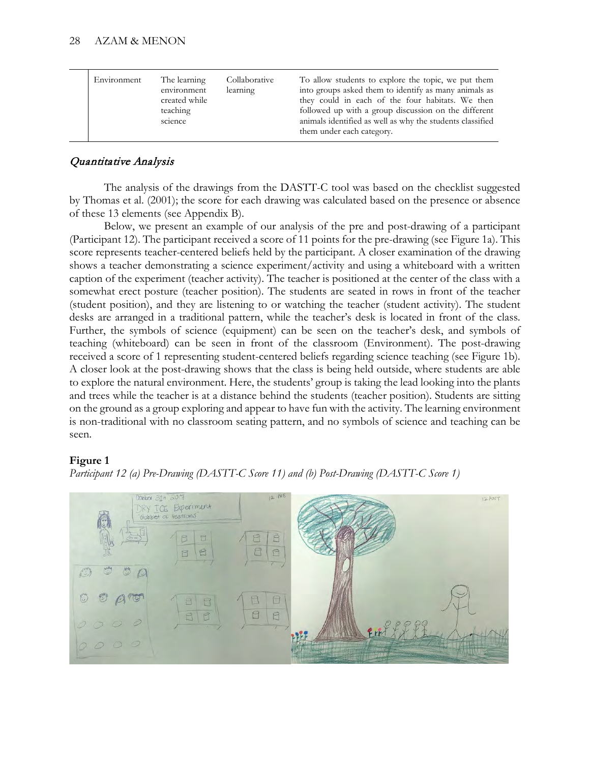|  | Environment | The learning<br>environment<br>created while<br>teaching<br>science | Collaborative<br>learning | To allow students to explore the topic, we put them<br>into groups asked them to identify as many animals as<br>they could in each of the four habitats. We then<br>followed up with a group discussion on the different<br>animals identified as well as why the students classified<br>them under each category. |
|--|-------------|---------------------------------------------------------------------|---------------------------|--------------------------------------------------------------------------------------------------------------------------------------------------------------------------------------------------------------------------------------------------------------------------------------------------------------------|
|--|-------------|---------------------------------------------------------------------|---------------------------|--------------------------------------------------------------------------------------------------------------------------------------------------------------------------------------------------------------------------------------------------------------------------------------------------------------------|

# Quantitative Analysis

The analysis of the drawings from the DASTT-C tool was based on the checklist suggested by Thomas et al. (2001); the score for each drawing was calculated based on the presence or absence of these 13 elements (see Appendix B).

Below, we present an example of our analysis of the pre and post-drawing of a participant (Participant 12). The participant received a score of 11 points for the pre-drawing (see Figure 1a). This score represents teacher-centered beliefs held by the participant. A closer examination of the drawing shows a teacher demonstrating a science experiment/activity and using a whiteboard with a written caption of the experiment (teacher activity). The teacher is positioned at the center of the class with a somewhat erect posture (teacher position). The students are seated in rows in front of the teacher (student position), and they are listening to or watching the teacher (student activity). The student desks are arranged in a traditional pattern, while the teacher's desk is located in front of the class. Further, the symbols of science (equipment) can be seen on the teacher's desk, and symbols of teaching (whiteboard) can be seen in front of the classroom (Environment). The post-drawing received a score of 1 representing student-centered beliefs regarding science teaching (see Figure 1b). A closer look at the post-drawing shows that the class is being held outside, where students are able to explore the natural environment. Here, the students' group is taking the lead looking into the plants and trees while the teacher is at a distance behind the students (teacher position). Students are sitting on the ground as a group exploring and appear to have fun with the activity. The learning environment is non-traditional with no classroom seating pattern, and no symbols of science and teaching can be seen.

# **Figure 1**



*Participant 12 (a) Pre-Drawing (DASTT-C Score 11) and (b) Post-Drawing (DASTT-C Score 1)*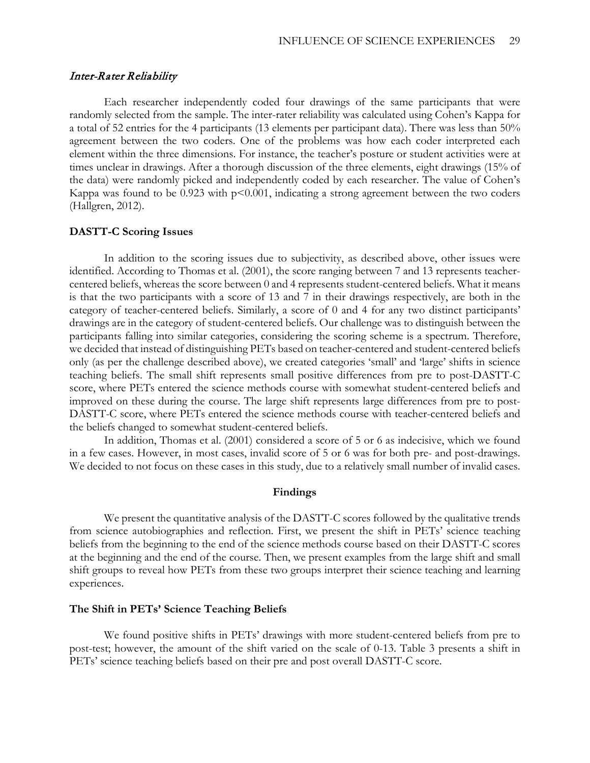### Inter-Rater Reliability

Each researcher independently coded four drawings of the same participants that were randomly selected from the sample. The inter-rater reliability was calculated using Cohen's Kappa for a total of 52 entries for the 4 participants (13 elements per participant data). There was less than 50% agreement between the two coders. One of the problems was how each coder interpreted each element within the three dimensions. For instance, the teacher's posture or student activities were at times unclear in drawings. After a thorough discussion of the three elements, eight drawings (15% of the data) were randomly picked and independently coded by each researcher. The value of Cohen's Kappa was found to be  $0.923$  with  $p<0.001$ , indicating a strong agreement between the two coders (Hallgren, 2012).

#### **DASTT-C Scoring Issues**

In addition to the scoring issues due to subjectivity, as described above, other issues were identified. According to Thomas et al. (2001), the score ranging between 7 and 13 represents teachercentered beliefs, whereas the score between 0 and 4 represents student-centered beliefs. What it means is that the two participants with a score of 13 and 7 in their drawings respectively, are both in the category of teacher-centered beliefs. Similarly, a score of 0 and 4 for any two distinct participants' drawings are in the category of student-centered beliefs. Our challenge was to distinguish between the participants falling into similar categories, considering the scoring scheme is a spectrum. Therefore, we decided that instead of distinguishing PETs based on teacher-centered and student-centered beliefs only (as per the challenge described above), we created categories 'small' and 'large' shifts in science teaching beliefs. The small shift represents small positive differences from pre to post-DASTT-C score, where PETs entered the science methods course with somewhat student-centered beliefs and improved on these during the course. The large shift represents large differences from pre to post-DASTT-C score, where PETs entered the science methods course with teacher-centered beliefs and the beliefs changed to somewhat student-centered beliefs.

In addition, Thomas et al. (2001) considered a score of 5 or 6 as indecisive, which we found in a few cases. However, in most cases, invalid score of 5 or 6 was for both pre- and post-drawings. We decided to not focus on these cases in this study, due to a relatively small number of invalid cases.

#### **Findings**

We present the quantitative analysis of the DASTT-C scores followed by the qualitative trends from science autobiographies and reflection. First, we present the shift in PETs' science teaching beliefs from the beginning to the end of the science methods course based on their DASTT-C scores at the beginning and the end of the course. Then, we present examples from the large shift and small shift groups to reveal how PETs from these two groups interpret their science teaching and learning experiences.

#### **The Shift in PETs' Science Teaching Beliefs**

We found positive shifts in PETs' drawings with more student-centered beliefs from pre to post-test; however, the amount of the shift varied on the scale of 0-13. Table 3 presents a shift in PETs' science teaching beliefs based on their pre and post overall DASTT-C score.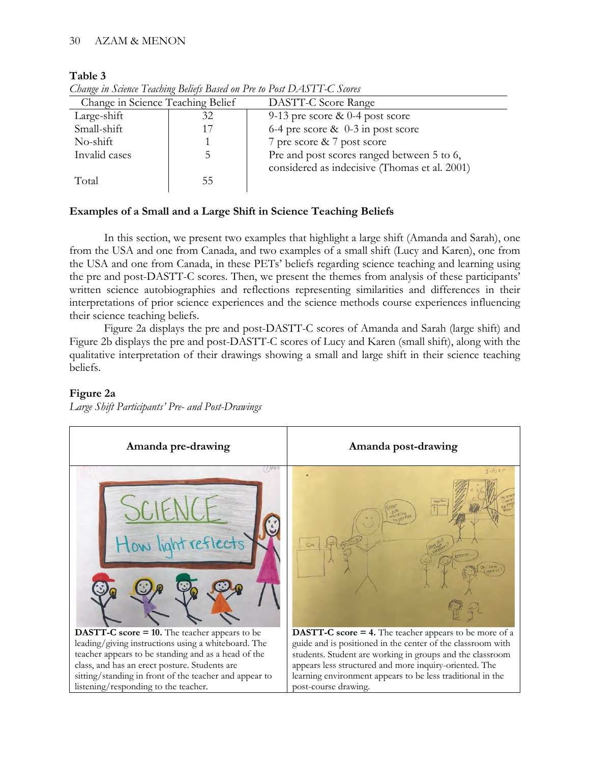## **Table 3**

| Change in Science Teaching Belief |    | DASTT-C Score Range                           |  |  |
|-----------------------------------|----|-----------------------------------------------|--|--|
| Large-shift                       | 32 | 9-13 pre score $\&$ 0-4 post score            |  |  |
| Small-shift                       |    | 6-4 pre score $\&$ 0-3 in post score          |  |  |
| No-shift                          |    | 7 pre score & 7 post score                    |  |  |
| Invalid cases                     |    | Pre and post scores ranged between 5 to 6,    |  |  |
|                                   |    | considered as indecisive (Thomas et al. 2001) |  |  |
| Total                             | 55 |                                               |  |  |
|                                   |    |                                               |  |  |

*Change in Science Teaching Beliefs Based on Pre to Post DASTT-C Scores*

# **Examples of a Small and a Large Shift in Science Teaching Beliefs**

In this section, we present two examples that highlight a large shift (Amanda and Sarah), one from the USA and one from Canada, and two examples of a small shift (Lucy and Karen), one from the USA and one from Canada, in these PETs' beliefs regarding science teaching and learning using the pre and post-DASTT-C scores. Then, we present the themes from analysis of these participants' written science autobiographies and reflections representing similarities and differences in their interpretations of prior science experiences and the science methods course experiences influencing their science teaching beliefs.

Figure 2a displays the pre and post-DASTT-C scores of Amanda and Sarah (large shift) and Figure 2b displays the pre and post-DASTT-C scores of Lucy and Karen (small shift), along with the qualitative interpretation of their drawings showing a small and large shift in their science teaching beliefs.

## **Figure 2a**

*Large Shift Participants' Pre- and Post-Drawings*

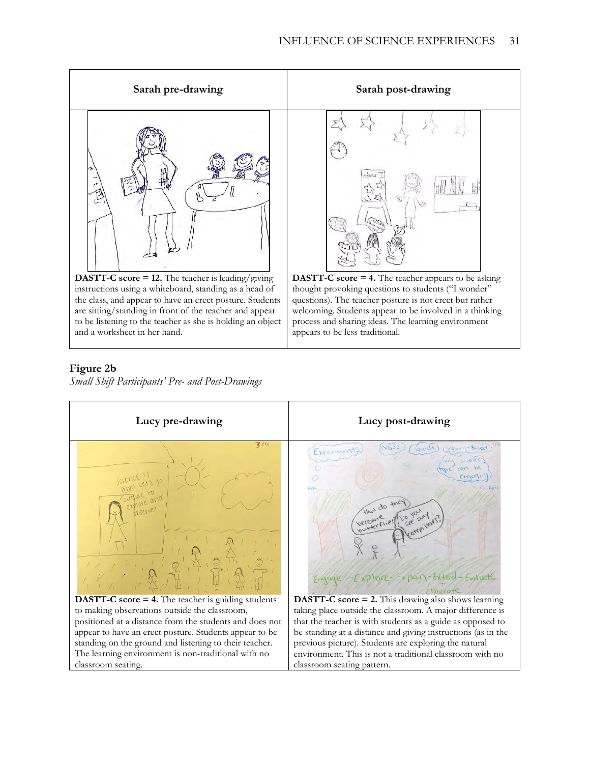

#### **Figure 2b**

*Small Shift Participants' Pre- and Post-Drawings*

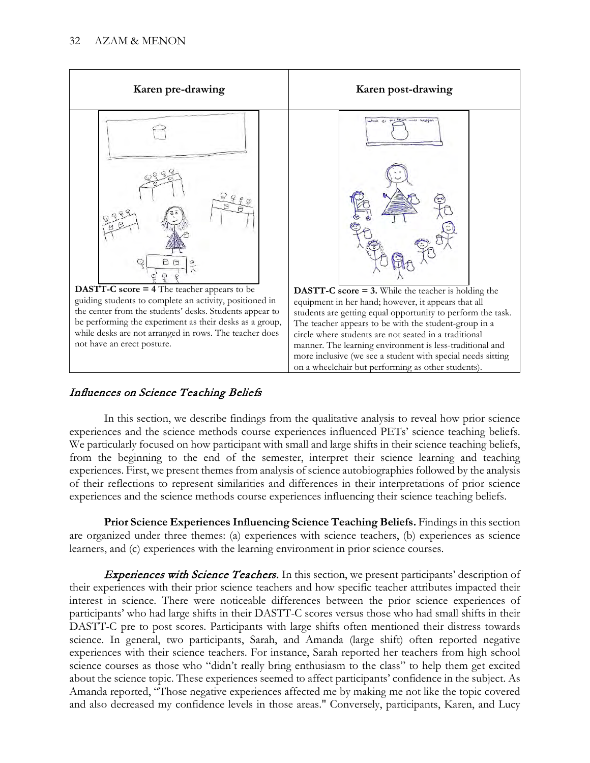

# Influences on Science Teaching Beliefs

In this section, we describe findings from the qualitative analysis to reveal how prior science experiences and the science methods course experiences influenced PETs' science teaching beliefs. We particularly focused on how participant with small and large shifts in their science teaching beliefs, from the beginning to the end of the semester, interpret their science learning and teaching experiences. First, we present themes from analysis of science autobiographies followed by the analysis of their reflections to represent similarities and differences in their interpretations of prior science experiences and the science methods course experiences influencing their science teaching beliefs.

**Prior Science Experiences Influencing Science Teaching Beliefs.** Findings in this section are organized under three themes: (a) experiences with science teachers, (b) experiences as science learners, and (c) experiences with the learning environment in prior science courses.

**Experiences with Science Teachers.** In this section, we present participants' description of their experiences with their prior science teachers and how specific teacher attributes impacted their interest in science. There were noticeable differences between the prior science experiences of participants' who had large shifts in their DASTT-C scores versus those who had small shifts in their DASTT-C pre to post scores. Participants with large shifts often mentioned their distress towards science. In general, two participants, Sarah, and Amanda (large shift) often reported negative experiences with their science teachers. For instance, Sarah reported her teachers from high school science courses as those who "didn't really bring enthusiasm to the class" to help them get excited about the science topic. These experiences seemed to affect participants' confidence in the subject. As Amanda reported, "Those negative experiences affected me by making me not like the topic covered and also decreased my confidence levels in those areas." Conversely, participants, Karen, and Lucy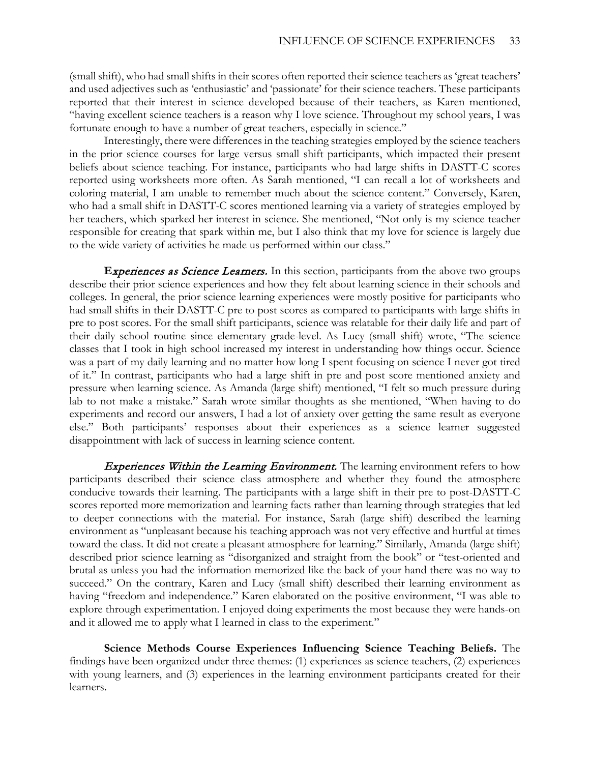(small shift), who had small shifts in their scores often reported their science teachers as 'great teachers' and used adjectives such as 'enthusiastic' and 'passionate' for their science teachers. These participants reported that their interest in science developed because of their teachers, as Karen mentioned, "having excellent science teachers is a reason why I love science. Throughout my school years, I was fortunate enough to have a number of great teachers, especially in science."

Interestingly, there were differences in the teaching strategies employed by the science teachers in the prior science courses for large versus small shift participants, which impacted their present beliefs about science teaching. For instance, participants who had large shifts in DASTT-C scores reported using worksheets more often. As Sarah mentioned, "I can recall a lot of worksheets and coloring material, I am unable to remember much about the science content." Conversely, Karen, who had a small shift in DASTT-C scores mentioned learning via a variety of strategies employed by her teachers, which sparked her interest in science. She mentioned, "Not only is my science teacher responsible for creating that spark within me, but I also think that my love for science is largely due to the wide variety of activities he made us performed within our class."

**Experiences as Science Learners.** In this section, participants from the above two groups describe their prior science experiences and how they felt about learning science in their schools and colleges. In general, the prior science learning experiences were mostly positive for participants who had small shifts in their DASTT-C pre to post scores as compared to participants with large shifts in pre to post scores. For the small shift participants, science was relatable for their daily life and part of their daily school routine since elementary grade-level. As Lucy (small shift) wrote, "The science classes that I took in high school increased my interest in understanding how things occur. Science was a part of my daily learning and no matter how long I spent focusing on science I never got tired of it." In contrast, participants who had a large shift in pre and post score mentioned anxiety and pressure when learning science. As Amanda (large shift) mentioned, "I felt so much pressure during lab to not make a mistake." Sarah wrote similar thoughts as she mentioned, "When having to do experiments and record our answers, I had a lot of anxiety over getting the same result as everyone else." Both participants' responses about their experiences as a science learner suggested disappointment with lack of success in learning science content.

**Experiences Within the Learning Environment.** The learning environment refers to how participants described their science class atmosphere and whether they found the atmosphere conducive towards their learning. The participants with a large shift in their pre to post-DASTT-C scores reported more memorization and learning facts rather than learning through strategies that led to deeper connections with the material. For instance, Sarah (large shift) described the learning environment as "unpleasant because his teaching approach was not very effective and hurtful at times toward the class. It did not create a pleasant atmosphere for learning." Similarly, Amanda (large shift) described prior science learning as "disorganized and straight from the book" or "test-oriented and brutal as unless you had the information memorized like the back of your hand there was no way to succeed." On the contrary, Karen and Lucy (small shift) described their learning environment as having "freedom and independence." Karen elaborated on the positive environment, "I was able to explore through experimentation. I enjoyed doing experiments the most because they were hands-on and it allowed me to apply what I learned in class to the experiment."

**Science Methods Course Experiences Influencing Science Teaching Beliefs.** The findings have been organized under three themes: (1) experiences as science teachers, (2) experiences with young learners, and (3) experiences in the learning environment participants created for their learners.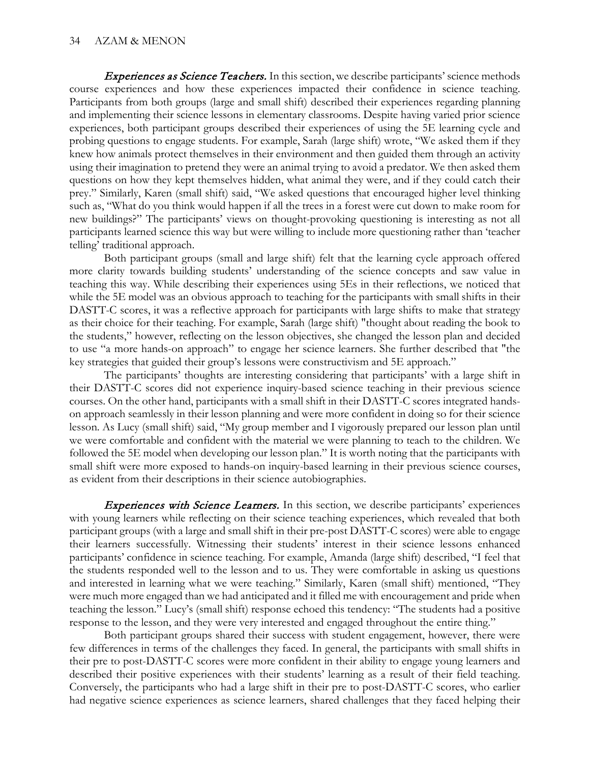**Experiences as Science Teachers.** In this section, we describe participants' science methods course experiences and how these experiences impacted their confidence in science teaching. Participants from both groups (large and small shift) described their experiences regarding planning and implementing their science lessons in elementary classrooms. Despite having varied prior science experiences, both participant groups described their experiences of using the 5E learning cycle and probing questions to engage students. For example, Sarah (large shift) wrote, "We asked them if they knew how animals protect themselves in their environment and then guided them through an activity using their imagination to pretend they were an animal trying to avoid a predator. We then asked them questions on how they kept themselves hidden, what animal they were, and if they could catch their prey." Similarly, Karen (small shift) said, "We asked questions that encouraged higher level thinking such as, "What do you think would happen if all the trees in a forest were cut down to make room for new buildings?" The participants' views on thought-provoking questioning is interesting as not all participants learned science this way but were willing to include more questioning rather than 'teacher telling' traditional approach.

Both participant groups (small and large shift) felt that the learning cycle approach offered more clarity towards building students' understanding of the science concepts and saw value in teaching this way. While describing their experiences using 5Es in their reflections, we noticed that while the 5E model was an obvious approach to teaching for the participants with small shifts in their DASTT-C scores, it was a reflective approach for participants with large shifts to make that strategy as their choice for their teaching. For example, Sarah (large shift) "thought about reading the book to the students," however, reflecting on the lesson objectives, she changed the lesson plan and decided to use "a more hands-on approach" to engage her science learners. She further described that "the key strategies that guided their group's lessons were constructivism and 5E approach."

The participants' thoughts are interesting considering that participants' with a large shift in their DASTT-C scores did not experience inquiry-based science teaching in their previous science courses. On the other hand, participants with a small shift in their DASTT-C scores integrated handson approach seamlessly in their lesson planning and were more confident in doing so for their science lesson. As Lucy (small shift) said, "My group member and I vigorously prepared our lesson plan until we were comfortable and confident with the material we were planning to teach to the children. We followed the 5E model when developing our lesson plan." It is worth noting that the participants with small shift were more exposed to hands-on inquiry-based learning in their previous science courses, as evident from their descriptions in their science autobiographies.

**Experiences with Science Learners.** In this section, we describe participants' experiences with young learners while reflecting on their science teaching experiences, which revealed that both participant groups (with a large and small shift in their pre-post DASTT-C scores) were able to engage their learners successfully. Witnessing their students' interest in their science lessons enhanced participants' confidence in science teaching. For example, Amanda (large shift) described, "I feel that the students responded well to the lesson and to us. They were comfortable in asking us questions and interested in learning what we were teaching." Similarly, Karen (small shift) mentioned, "They were much more engaged than we had anticipated and it filled me with encouragement and pride when teaching the lesson." Lucy's (small shift) response echoed this tendency: "The students had a positive response to the lesson, and they were very interested and engaged throughout the entire thing."

Both participant groups shared their success with student engagement, however, there were few differences in terms of the challenges they faced. In general, the participants with small shifts in their pre to post-DASTT-C scores were more confident in their ability to engage young learners and described their positive experiences with their students' learning as a result of their field teaching. Conversely, the participants who had a large shift in their pre to post-DASTT-C scores, who earlier had negative science experiences as science learners, shared challenges that they faced helping their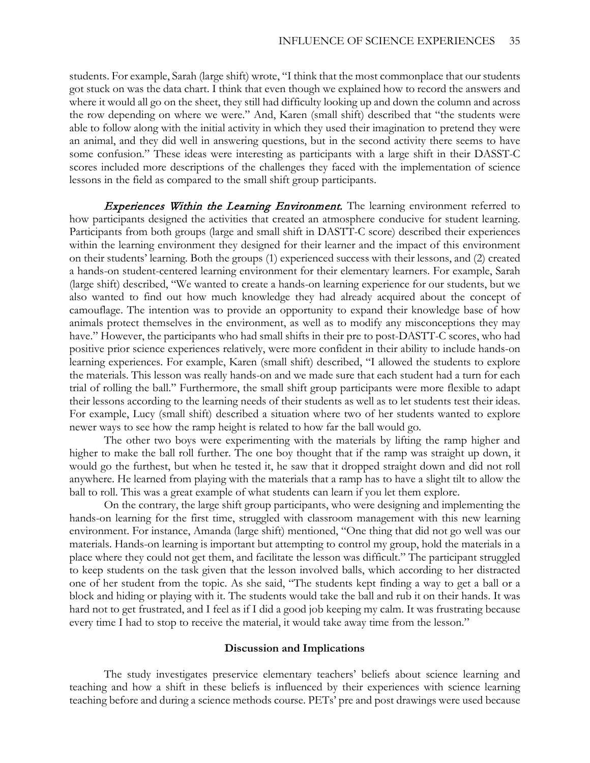students. For example, Sarah (large shift) wrote, "I think that the most commonplace that our students got stuck on was the data chart. I think that even though we explained how to record the answers and where it would all go on the sheet, they still had difficulty looking up and down the column and across the row depending on where we were." And, Karen (small shift) described that "the students were able to follow along with the initial activity in which they used their imagination to pretend they were an animal, and they did well in answering questions, but in the second activity there seems to have some confusion." These ideas were interesting as participants with a large shift in their DASST-C scores included more descriptions of the challenges they faced with the implementation of science lessons in the field as compared to the small shift group participants.

**Experiences Within the Learning Environment.** The learning environment referred to how participants designed the activities that created an atmosphere conducive for student learning. Participants from both groups (large and small shift in DASTT-C score) described their experiences within the learning environment they designed for their learner and the impact of this environment on their students' learning. Both the groups (1) experienced success with their lessons, and (2) created a hands-on student-centered learning environment for their elementary learners. For example, Sarah (large shift) described, "We wanted to create a hands-on learning experience for our students, but we also wanted to find out how much knowledge they had already acquired about the concept of camouflage. The intention was to provide an opportunity to expand their knowledge base of how animals protect themselves in the environment, as well as to modify any misconceptions they may have." However, the participants who had small shifts in their pre to post-DASTT-C scores, who had positive prior science experiences relatively, were more confident in their ability to include hands-on learning experiences. For example, Karen (small shift) described, "I allowed the students to explore the materials. This lesson was really hands-on and we made sure that each student had a turn for each trial of rolling the ball." Furthermore, the small shift group participants were more flexible to adapt their lessons according to the learning needs of their students as well as to let students test their ideas. For example, Lucy (small shift) described a situation where two of her students wanted to explore newer ways to see how the ramp height is related to how far the ball would go.

The other two boys were experimenting with the materials by lifting the ramp higher and higher to make the ball roll further. The one boy thought that if the ramp was straight up down, it would go the furthest, but when he tested it, he saw that it dropped straight down and did not roll anywhere. He learned from playing with the materials that a ramp has to have a slight tilt to allow the ball to roll. This was a great example of what students can learn if you let them explore.

On the contrary, the large shift group participants, who were designing and implementing the hands-on learning for the first time, struggled with classroom management with this new learning environment. For instance, Amanda (large shift) mentioned, "One thing that did not go well was our materials. Hands-on learning is important but attempting to control my group, hold the materials in a place where they could not get them, and facilitate the lesson was difficult." The participant struggled to keep students on the task given that the lesson involved balls, which according to her distracted one of her student from the topic. As she said, "The students kept finding a way to get a ball or a block and hiding or playing with it. The students would take the ball and rub it on their hands. It was hard not to get frustrated, and I feel as if I did a good job keeping my calm. It was frustrating because every time I had to stop to receive the material, it would take away time from the lesson."

#### **Discussion and Implications**

The study investigates preservice elementary teachers' beliefs about science learning and teaching and how a shift in these beliefs is influenced by their experiences with science learning teaching before and during a science methods course. PETs' pre and post drawings were used because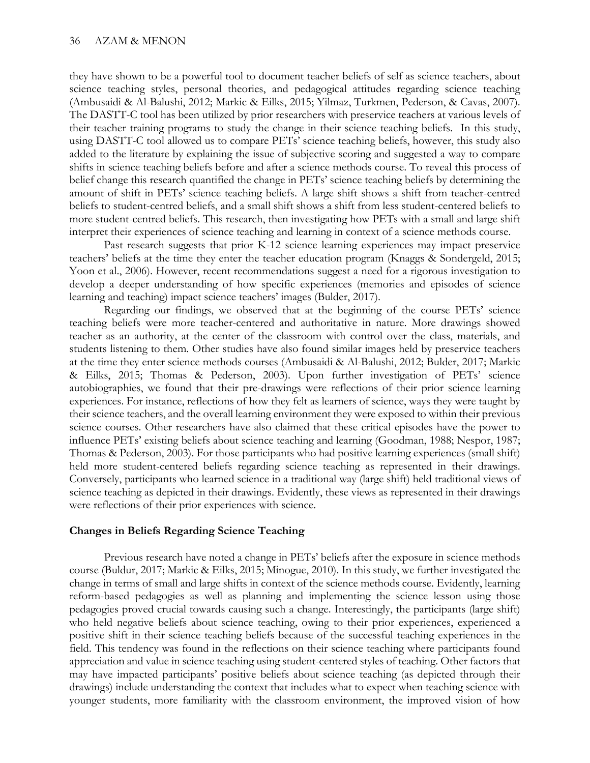they have shown to be a powerful tool to document teacher beliefs of self as science teachers, about science teaching styles, personal theories, and pedagogical attitudes regarding science teaching (Ambusaidi & Al-Balushi, 2012; Markic & Eilks, 2015; Yilmaz, Turkmen, Pederson, & Cavas, 2007). The DASTT-C tool has been utilized by prior researchers with preservice teachers at various levels of their teacher training programs to study the change in their science teaching beliefs. In this study, using DASTT-C tool allowed us to compare PETs' science teaching beliefs, however, this study also added to the literature by explaining the issue of subjective scoring and suggested a way to compare shifts in science teaching beliefs before and after a science methods course. To reveal this process of belief change this research quantified the change in PETs' science teaching beliefs by determining the amount of shift in PETs' science teaching beliefs. A large shift shows a shift from teacher-centred beliefs to student-centred beliefs, and a small shift shows a shift from less student-centered beliefs to more student-centred beliefs. This research, then investigating how PETs with a small and large shift interpret their experiences of science teaching and learning in context of a science methods course.

Past research suggests that prior K-12 science learning experiences may impact preservice teachers' beliefs at the time they enter the teacher education program (Knaggs & Sondergeld, 2015; Yoon et al., 2006). However, recent recommendations suggest a need for a rigorous investigation to develop a deeper understanding of how specific experiences (memories and episodes of science learning and teaching) impact science teachers' images (Bulder, 2017).

Regarding our findings, we observed that at the beginning of the course PETs' science teaching beliefs were more teacher-centered and authoritative in nature. More drawings showed teacher as an authority, at the center of the classroom with control over the class, materials, and students listening to them. Other studies have also found similar images held by preservice teachers at the time they enter science methods courses (Ambusaidi & Al-Balushi, 2012; Bulder, 2017; Markic & Eilks, 2015; Thomas & Pederson, 2003). Upon further investigation of PETs' science autobiographies, we found that their pre-drawings were reflections of their prior science learning experiences. For instance, reflections of how they felt as learners of science, ways they were taught by their science teachers, and the overall learning environment they were exposed to within their previous science courses. Other researchers have also claimed that these critical episodes have the power to influence PETs' existing beliefs about science teaching and learning (Goodman, 1988; Nespor, 1987; Thomas & Pederson, 2003). For those participants who had positive learning experiences (small shift) held more student-centered beliefs regarding science teaching as represented in their drawings. Conversely, participants who learned science in a traditional way (large shift) held traditional views of science teaching as depicted in their drawings. Evidently, these views as represented in their drawings were reflections of their prior experiences with science.

#### **Changes in Beliefs Regarding Science Teaching**

 Previous research have noted a change in PETs' beliefs after the exposure in science methods course (Buldur, 2017; Markic & Eilks, 2015; Minogue, 2010). In this study, we further investigated the change in terms of small and large shifts in context of the science methods course. Evidently, learning reform-based pedagogies as well as planning and implementing the science lesson using those pedagogies proved crucial towards causing such a change. Interestingly, the participants (large shift) who held negative beliefs about science teaching, owing to their prior experiences, experienced a positive shift in their science teaching beliefs because of the successful teaching experiences in the field. This tendency was found in the reflections on their science teaching where participants found appreciation and value in science teaching using student-centered styles of teaching. Other factors that may have impacted participants' positive beliefs about science teaching (as depicted through their drawings) include understanding the context that includes what to expect when teaching science with younger students, more familiarity with the classroom environment, the improved vision of how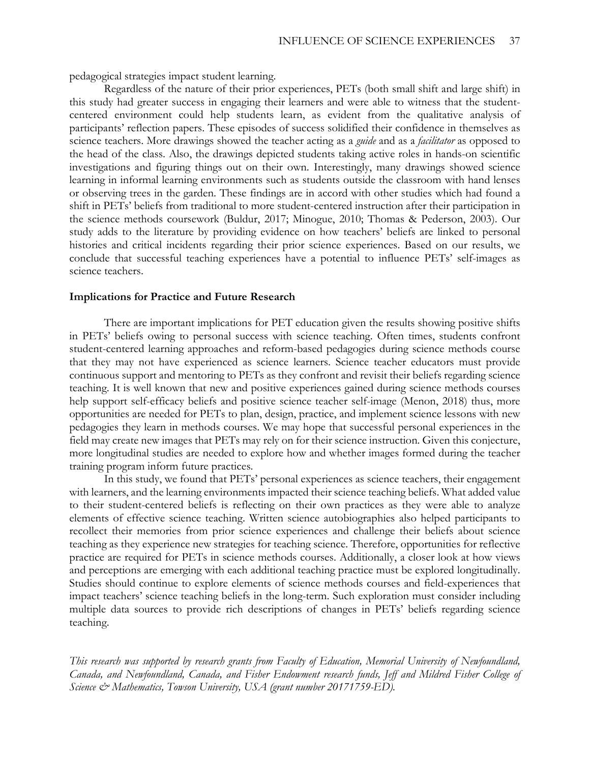pedagogical strategies impact student learning.

Regardless of the nature of their prior experiences, PETs (both small shift and large shift) in this study had greater success in engaging their learners and were able to witness that the studentcentered environment could help students learn, as evident from the qualitative analysis of participants' reflection papers. These episodes of success solidified their confidence in themselves as science teachers. More drawings showed the teacher acting as a *guide* and as a *facilitator* as opposed to the head of the class. Also, the drawings depicted students taking active roles in hands-on scientific investigations and figuring things out on their own. Interestingly, many drawings showed science learning in informal learning environments such as students outside the classroom with hand lenses or observing trees in the garden. These findings are in accord with other studies which had found a shift in PETs' beliefs from traditional to more student-centered instruction after their participation in the science methods coursework (Buldur, 2017; Minogue, 2010; Thomas & Pederson, 2003). Our study adds to the literature by providing evidence on how teachers' beliefs are linked to personal histories and critical incidents regarding their prior science experiences. Based on our results, we conclude that successful teaching experiences have a potential to influence PETs' self-images as science teachers.

#### **Implications for Practice and Future Research**

There are important implications for PET education given the results showing positive shifts in PETs' beliefs owing to personal success with science teaching. Often times, students confront student-centered learning approaches and reform-based pedagogies during science methods course that they may not have experienced as science learners. Science teacher educators must provide continuous support and mentoring to PETs as they confront and revisit their beliefs regarding science teaching. It is well known that new and positive experiences gained during science methods courses help support self-efficacy beliefs and positive science teacher self-image (Menon, 2018) thus, more opportunities are needed for PETs to plan, design, practice, and implement science lessons with new pedagogies they learn in methods courses. We may hope that successful personal experiences in the field may create new images that PETs may rely on for their science instruction. Given this conjecture, more longitudinal studies are needed to explore how and whether images formed during the teacher training program inform future practices.

In this study, we found that PETs' personal experiences as science teachers, their engagement with learners, and the learning environments impacted their science teaching beliefs. What added value to their student-centered beliefs is reflecting on their own practices as they were able to analyze elements of effective science teaching. Written science autobiographies also helped participants to recollect their memories from prior science experiences and challenge their beliefs about science teaching as they experience new strategies for teaching science. Therefore, opportunities for reflective practice are required for PETs in science methods courses. Additionally, a closer look at how views and perceptions are emerging with each additional teaching practice must be explored longitudinally. Studies should continue to explore elements of science methods courses and field-experiences that impact teachers' science teaching beliefs in the long-term. Such exploration must consider including multiple data sources to provide rich descriptions of changes in PETs' beliefs regarding science teaching.

*This research was supported by research grants from Faculty of Education, Memorial University of Newfoundland, Canada, and Newfoundland, Canada, and Fisher Endowment research funds, Jeff and Mildred Fisher College of Science & Mathematics, Towson University, USA (grant number 20171759-ED).*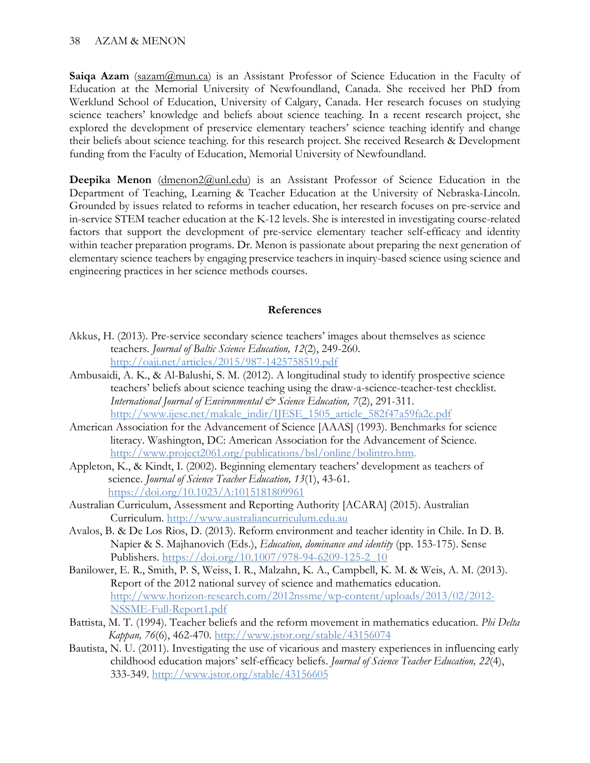**Saiga Azam** (sazam (amun.ca) is an Assistant Professor of Science Education in the Faculty of Education at the Memorial University of Newfoundland, Canada. She received her PhD from Werklund School of Education, University of Calgary, Canada. Her research focuses on studying science teachers' knowledge and beliefs about science teaching. In a recent research project, she explored the development of preservice elementary teachers' science teaching identify and change their beliefs about science teaching. for this research project. She received Research & Development funding from the Faculty of Education, Memorial University of Newfoundland.

**Deepika Menon** [\(dmenon2@unl.edu\)](mailto:dmenon2@unl.edu) is an Assistant Professor of Science Education in the Department of Teaching, Learning & Teacher Education at the University of Nebraska-Lincoln. Grounded by issues related to reforms in teacher education, her research focuses on pre-service and in-service STEM teacher education at the K-12 levels. She is interested in investigating course-related factors that support the development of pre-service elementary teacher self-efficacy and identity within teacher preparation programs. Dr. Menon is passionate about preparing the next generation of elementary science teachers by engaging preservice teachers in inquiry-based science using science and engineering practices in her science methods courses.

# **References**

- Akkus, H. (2013). Pre-service secondary science teachers' images about themselves as science teachers. *Journal of Baltic Science Education, 12*(2), 249-260. <http://oaji.net/articles/2015/987-1425758519.pdf>
- Ambusaidi, A. K., & Al-Balushi, S. M. (2012). A longitudinal study to identify prospective science teachers' beliefs about science teaching using the draw-a-science-teacher-test checklist. *International Journal of Environmental & Science Education, 7*(2), 291-311. [http://www.ijese.net/makale\\_indir/IJESE\\_1505\\_article\\_582f47a59fa2c.pdf](http://www.ijese.net/makale_indir/IJESE_1505_article_582f47a59fa2c.pdf)
- American Association for the Advancement of Science [AAAS] (1993). Benchmarks for science literacy. Washington, DC: American Association for the Advancement of Science. [http://www.project2061.org/publications/bsl/online/bolintro.htm.](http://www.project2061.org/publications/bsl/online/bolintro.htm)
- Appleton, K., & Kindt, I. (2002). Beginning elementary teachers' development as teachers of science. *Journal of Science Teacher Education, 13*(1), 43-61. <https://doi.org/10.1023/A:1015181809961>
- Australian Curriculum, Assessment and Reporting Authority [ACARA] (2015). Australian Curriculum. [http://www.australiancurriculum.edu.au](http://www.australiancurriculum.edu.au/)
- Avalos, B. & De Los Rios, D. (2013). Reform environment and teacher identity in Chile. In D. B. Napier & S. Majhanovich (Eds.), *Education, dominance and identity* (pp. 153-175). Sense Publishers. [https://doi.org/10.1007/978-94-6209-125-2\\_10](https://doi.org/10.1007/978-94-6209-125-2_10)
- Banilower, E. R., Smith, P. S, Weiss, I. R., Malzahn, K. A., Campbell, K. M. & Weis, A. M. (2013). Report of the 2012 national survey of science and mathematics education. [http://www.horizon-research.com/2012nssme/wp-content/uploads/2013/02/2012-](http://www.horizon-research.com/2012nssme/wp-content/uploads/2013/02/2012-NSSME-Full-Report1.pdf) [NSSME-Full-Report1.pdf](http://www.horizon-research.com/2012nssme/wp-content/uploads/2013/02/2012-NSSME-Full-Report1.pdf)
- Battista, M. T. (1994). Teacher beliefs and the reform movement in mathematics education. *Phi Delta Kappan, 76*(6), 462-470.<http://www.jstor.org/stable/43156074>
- Bautista, N. U. (2011). Investigating the use of vicarious and mastery experiences in influencing early childhood education majors' self-efficacy beliefs. *Journal of Science Teacher Education, 22*(4), 333-349.<http://www.jstor.org/stable/43156605>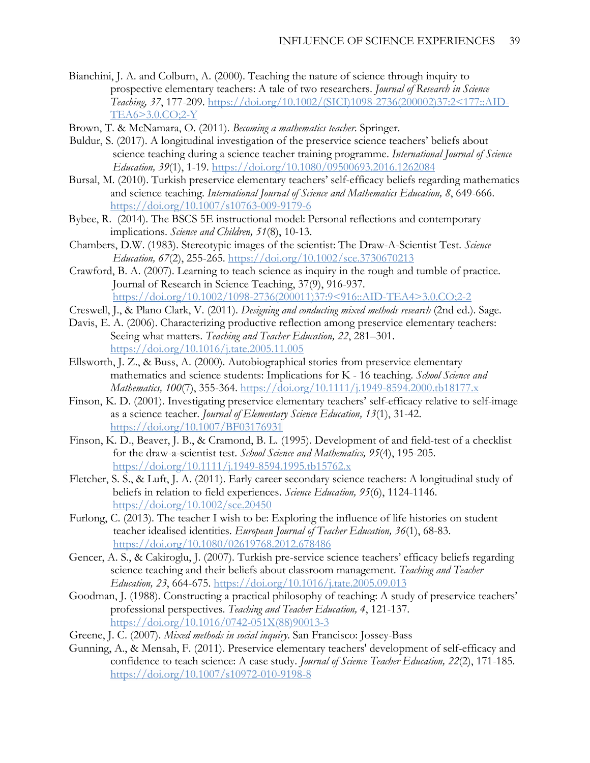- Bianchini, J. A. and Colburn, A. (2000). Teaching the nature of science through inquiry to prospective elementary teachers: A tale of two researchers. *Journal of Research in Science Teaching, 37*, 177-209. [https://doi.org/10.1002/\(SICI\)1098-2736\(200002\)37:2<177::AID-](https://doi.org/10.1002/(SICI)1098-2736(200002)37:2%3C177::AID-TEA6%3E3.0.CO;2-Y)[TEA6>3.0.CO;2-Y](https://doi.org/10.1002/(SICI)1098-2736(200002)37:2%3C177::AID-TEA6%3E3.0.CO;2-Y)
- Brown, T. & McNamara, O. (2011). *Becoming a mathematics teacher*. Springer.
- Buldur, S. (2017). A longitudinal investigation of the preservice science teachers' beliefs about science teaching during a science teacher training programme. *International Journal of Science Education, 39*(1), 1-19.<https://doi.org/10.1080/09500693.2016.1262084>
- Bursal, M. (2010). Turkish preservice elementary teachers' self-efficacy beliefs regarding mathematics and science teaching. *International Journal of Science and Mathematics Education, 8*, 649-666. <https://doi.org/10.1007/s10763-009-9179-6>
- Bybee, R. (2014). The BSCS 5E instructional model: Personal reflections and contemporary implications. *Science and Children, 51*(8), 10-13.
- Chambers, D.W. (1983). Stereotypic images of the scientist: The Draw-A-Scientist Test*. Science Education, 67*(2), 255-265.<https://doi.org/10.1002/sce.3730670213>
- Crawford, B. A. (2007). Learning to teach science as inquiry in the rough and tumble of practice. Journal of Research in Science Teaching, 37(9), 916-937. [https://doi.org/10.1002/1098-2736\(200011\)37:9<916::AID-TEA4>3.0.CO;2-2](https://doi.org/10.1002/1098-2736(200011)37:9%3C916::AID-TEA4%3E3.0.CO;2-2)
- Creswell, J., & Plano Clark, V. (2011). *Designing and conducting mixed methods research* (2nd ed.). Sage.
- Davis, E. A. (2006). Characterizing productive reflection among preservice elementary teachers: Seeing what matters. *Teaching and Teacher Education, 22*, 281–301. <https://doi.org/10.1016/j.tate.2005.11.005>
- Ellsworth, J. Z., & Buss, A. (2000). Autobiographical stories from preservice elementary mathematics and science students: Implications for K - 16 teaching. *School Science and Mathematics, 100*(7), 355-364.<https://doi.org/10.1111/j.1949-8594.2000.tb18177.x>
- Finson, K. D. (2001). Investigating preservice elementary teachers' self-efficacy relative to self-image as a science teacher. *Journal of Elementary Science Education, 13*(1), 31-42. <https://doi.org/10.1007/BF03176931>
- Finson, K. D., Beaver, J. B., & Cramond, B. L. (1995). Development of and field-test of a checklist for the draw-a-scientist test. *School Science and Mathematics, 95*(4), 195-205. <https://doi.org/10.1111/j.1949-8594.1995.tb15762.x>
- Fletcher, S. S., & Luft, J. A. (2011). Early career secondary science teachers: A longitudinal study of beliefs in relation to field experiences. *Science Education, 95*(6), 1124-1146. <https://doi.org/10.1002/sce.20450>
- Furlong, C. (2013). The teacher I wish to be: Exploring the influence of life histories on student teacher idealised identities. *European Journal of Teacher Education, 36*(1), 68-83. <https://doi.org/10.1080/02619768.2012.678486>
- Gencer, A. S., & Cakiroglu, J. (2007). Turkish pre-service science teachers' efficacy beliefs regarding science teaching and their beliefs about classroom management. *Teaching and Teacher Education, 23*, 664-675.<https://doi.org/10.1016/j.tate.2005.09.013>
- Goodman, J. (1988). Constructing a practical philosophy of teaching: A study of preservice teachers' professional perspectives. *Teaching and Teacher Education, 4*, 121-137. [https://doi.org/10.1016/0742-051X\(88\)90013-3](https://doi.org/10.1016/0742-051X(88)90013-3)
- Greene, J. C. (2007). *Mixed methods in social inquiry*. San Francisco: Jossey-Bass
- Gunning, A., & Mensah, F. (2011). Preservice elementary teachers' development of self-efficacy and confidence to teach science: A case study. *Journal of Science Teacher Education, 22*(2), 171-185. <https://doi.org/10.1007/s10972-010-9198-8>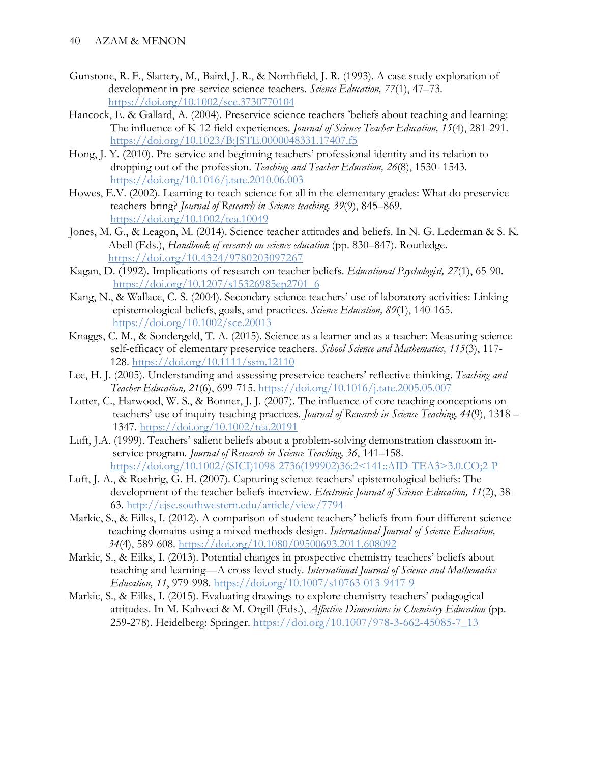- Gunstone, R. F., Slattery, M., Baird, J. R., & Northfield, J. R. (1993). A case study exploration of development in pre-service science teachers. *Science Education, 77*(1), 47–73. <https://doi.org/10.1002/sce.3730770104>
- Hancock, E. & Gallard, A. (2004). Preservice science teachers 'beliefs about teaching and learning: The influence of K-12 field experiences. *Journal of Science Teacher Education, 15*(4), 281-291. <https://doi.org/10.1023/B:JSTE.0000048331.17407.f5>
- Hong, J. Y. (2010). Pre-service and beginning teachers' professional identity and its relation to dropping out of the profession. *Teaching and Teacher Education, 26*(8), 1530- 1543. <https://doi.org/10.1016/j.tate.2010.06.003>
- Howes, E.V. (2002). Learning to teach science for all in the elementary grades: What do preservice teachers bring? *Journal of Research in Science teaching, 39*(9), 845–869. <https://doi.org/10.1002/tea.10049>
- Jones, M. G., & Leagon, M. (2014). Science teacher attitudes and beliefs. In N. G. Lederman & S. K. Abell (Eds.), *Handbook of research on science education* (pp. 830–847). Routledge. <https://doi.org/10.4324/9780203097267>
- Kagan, D. (1992). Implications of research on teacher beliefs. *Educational Psychologist, 27*(1), 65-90. [https://doi.org/10.1207/s15326985ep2701\\_6](https://doi.org/10.1207/s15326985ep2701_6)
- Kang, N., & Wallace, C. S. (2004). Secondary science teachers' use of laboratory activities: Linking epistemological beliefs, goals, and practices. *Science Education, 89*(1), 140-165. <https://doi.org/10.1002/sce.20013>
- Knaggs, C. M., & Sondergeld, T. A. (2015). Science as a learner and as a teacher: Measuring science self-efficacy of elementary preservice teachers. *School Science and Mathematics, 115*(3), 117- 128.<https://doi.org/10.1111/ssm.12110>
- Lee, H. J. (2005). Understanding and assessing preservice teachers' reflective thinking. *Teaching and Teacher Education, 21*(6), 699-715.<https://doi.org/10.1016/j.tate.2005.05.007>
- Lotter, C., Harwood, W. S., & Bonner, J. J. (2007). The influence of core teaching conceptions on teachers' use of inquiry teaching practices. *Journal of Research in Science Teaching, 44*(9), 1318 – 1347.<https://doi.org/10.1002/tea.20191>
- Luft, J.A. (1999). Teachers' salient beliefs about a problem-solving demonstration classroom inservice program*. Journal of Research in Science Teaching, 36*, 141–158. [https://doi.org/10.1002/\(SICI\)1098-2736\(199902\)36:2<141::AID-TEA3>3.0.CO;2-P](https://doi.org/10.1002/(SICI)1098-2736(199902)36:2%3C141::AID-TEA3%3E3.0.CO;2-P)
- Luft, J. A., & Roehrig, G. H. (2007). Capturing science teachers' epistemological beliefs: The development of the teacher beliefs interview. *Electronic Journal of Science Education, 11*(2), 38- 63.<http://ejse.southwestern.edu/article/view/7794>
- Markic, S., & Eilks, I. (2012). A comparison of student teachers' beliefs from four different science teaching domains using a mixed methods design. *International Journal of Science Education, 34*(4), 589-608.<https://doi.org/10.1080/09500693.2011.608092>
- Markic, S., & Eilks, I. (2013). Potential changes in prospective chemistry teachers' beliefs about teaching and learning—A cross-level study. *International Journal of Science and Mathematics Education, 11*, 979-998.<https://doi.org/10.1007/s10763-013-9417-9>
- Markic, S., & Eilks, I. (2015). Evaluating drawings to explore chemistry teachers' pedagogical attitudes. In M. Kahveci & M. Orgill (Eds.), *Affective Dimensions in Chemistry Education* (pp. 259-278). Heidelberg: Springer. [https://doi.org/10.1007/978-3-662-45085-7\\_13](https://doi.org/10.1007/978-3-662-45085-7_13)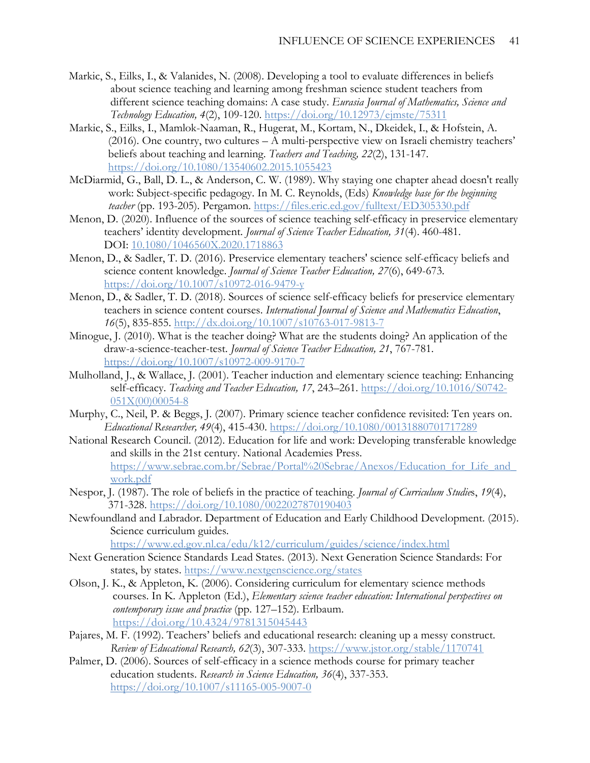- Markic, S., Eilks, I., & Valanides, N. (2008). Developing a tool to evaluate differences in beliefs about science teaching and learning among freshman science student teachers from different science teaching domains: A case study. *Eurasia Journal of Mathematics, Science and Technology Education, 4*(2), 109-120.<https://doi.org/10.12973/ejmste/75311>
- Markic, S., Eilks, I., Mamlok-Naaman, R., Hugerat, M., Kortam, N., Dkeidek, I., & Hofstein, A. (2016). One country, two cultures – A multi-perspective view on Israeli chemistry teachers' beliefs about teaching and learning. *Teachers and Teaching, 22*(2), 131-147. <https://doi.org/10.1080/13540602.2015.1055423>
- McDiarmid, G., Ball, D. L., & Anderson, C. W. (1989). Why staying one chapter ahead doesn't really work: Subject-specific pedagogy. In M. C. Reynolds, (Eds) *Knowledge base for the beginning teacher* (pp. 193-205). Pergamon.<https://files.eric.ed.gov/fulltext/ED305330.pdf>
- Menon, D. (2020). Influence of the sources of science teaching self-efficacy in preservice elementary teachers' identity development. *Journal of Science Teacher Education, 31*(4). 460-481. DOI: [10.1080/1046560X.2020.1718863](https://doi.org/10.1080/1046560X.2020.1718863)
- Menon, D., & Sadler, T. D. (2016). Preservice elementary teachers' science self-efficacy beliefs and science content knowledge. *Journal of Science Teacher Education, 27*(6), 649-673*.*  <https://doi.org/10.1007/s10972-016-9479-y>
- Menon, D., & Sadler, T. D. (2018). Sources of science self-efficacy beliefs for preservice elementary teachers in science content courses. *International Journal of Science and Mathematics Education*, *16*(5), 835-855.<http://dx.doi.org/10.1007/s10763-017-9813-7>
- Minogue, J. (2010). What is the teacher doing? What are the students doing? An application of the draw-a-science-teacher-test. *Journal of Science Teacher Education, 21*, 767-781. <https://doi.org/10.1007/s10972-009-9170-7>
- Mulholland, J., & Wallace, J. (2001). Teacher induction and elementary science teaching: Enhancing self-efficacy. *Teaching and Teacher Education, 17*, 243–261. [https://doi.org/10.1016/S0742-](https://doi.org/10.1016/S0742-051X(00)00054-8) [051X\(00\)00054-8](https://doi.org/10.1016/S0742-051X(00)00054-8)
- Murphy, C., Neil, P. & Beggs, J. (2007). Primary science teacher confidence revisited: Ten years on. *Educational Researcher, 49*(4), 415-430.<https://doi.org/10.1080/00131880701717289>
- National Research Council. (2012). Education for life and work: Developing transferable knowledge and skills in the 21st century. National Academies Press. [https://www.sebrae.com.br/Sebrae/Portal%20Sebrae/Anexos/Education\\_for\\_Life\\_and\\_](https://www.sebrae.com.br/Sebrae/Portal%20Sebrae/Anexos/Education_for_Life_and_work.pdf) [work.pdf](https://www.sebrae.com.br/Sebrae/Portal%20Sebrae/Anexos/Education_for_Life_and_work.pdf)
- Nespor, J. (1987). The role of beliefs in the practice of teaching. *Journal of Curriculum Studie*s, *19*(4), 371-328.<https://doi.org/10.1080/0022027870190403>
- Newfoundland and Labrador. Department of Education and Early Childhood Development. (2015). Science curriculum guides.

<https://www.ed.gov.nl.ca/edu/k12/curriculum/guides/science/index.html>

- Next Generation Science Standards Lead States. (2013). Next Generation Science Standards: For states, by states.<https://www.nextgenscience.org/states>
- Olson, J. K., & Appleton, K. (2006). Considering curriculum for elementary science methods courses. In K. Appleton (Ed.), *Elementary science teacher education: International perspectives on contemporary issue and practice* (pp. 127–152). Erlbaum. <https://doi.org/10.4324/9781315045443>
- Pajares, M. F. (1992). Teachers' beliefs and educational research: cleaning up a messy construct. *Review of Educational Research, 62*(3), 307-333.<https://www.jstor.org/stable/1170741>
- Palmer, D. (2006). Sources of self-efficacy in a science methods course for primary teacher education students. *Research in Science Education, 36*(4), 337-353. <https://doi.org/10.1007/s11165-005-9007-0>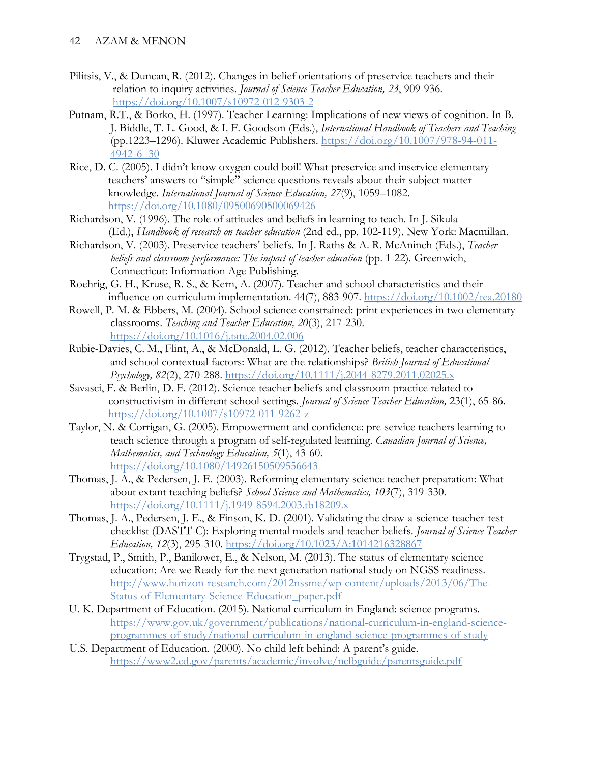- Pilitsis, V., & Duncan, R. (2012). Changes in belief orientations of preservice teachers and their relation to inquiry activities. *Journal of Science Teacher Education, 23*, 909-936. <https://doi.org/10.1007/s10972-012-9303-2>
- Putnam, R.T., & Borko, H. (1997). Teacher Learning: Implications of new views of cognition. In B. J. Biddle, T. L. Good, & I. F. Goodson (Eds.), *International Handbook of Teachers and Teaching* (pp.1223–1296). Kluwer Academic Publishers. [https://doi.org/10.1007/978-94-011-](https://doi.org/10.1007/978-94-011-4942-6_30) [4942-6\\_30](https://doi.org/10.1007/978-94-011-4942-6_30)
- Rice, D. C. (2005). I didn't know oxygen could boil! What preservice and inservice elementary teachers' answers to "simple" science questions reveals about their subject matter knowledge. *International Journal of Science Education, 27*(9), 1059–1082. <https://doi.org/10.1080/09500690500069426>
- Richardson, V. (1996). The role of attitudes and beliefs in learning to teach. In J. Sikula (Ed.), *Handbook of research on teacher education* (2nd ed., pp. 102-119). New York: Macmillan.
- Richardson, V. (2003). Preservice teachers' beliefs. In J. Raths & A. R. McAninch (Eds.), *Teacher beliefs and classroom performance: The impact of teacher education* (pp. 1-22). Greenwich, Connecticut: Information Age Publishing.
- Roehrig, G. H., Kruse, R. S., & Kern, A. (2007). Teacher and school characteristics and their influence on curriculum implementation. 44(7), 883-907.<https://doi.org/10.1002/tea.20180>
- Rowell, P. M. & Ebbers, M. (2004). School science constrained: print experiences in two elementary classrooms. *Teaching and Teacher Education, 20*(3), 217-230. <https://doi.org/10.1016/j.tate.2004.02.006>
- Rubie-Davies, C. M., Flint, A., & McDonald, L. G. (2012). Teacher beliefs, teacher characteristics, and school contextual factors: What are the relationships? *British Journal of Educational Psychology, 82*(2), 270-288.<https://doi.org/10.1111/j.2044-8279.2011.02025.x>
- Savasci, F. & Berlin, D. F. (2012). Science teacher beliefs and classroom practice related to constructivism in different school settings. *Journal of Science Teacher Education,* 23(1), 65-86. <https://doi.org/10.1007/s10972-011-9262-z>
- Taylor, N. & Corrigan, G. (2005). Empowerment and confidence: pre-service teachers learning to teach science through a program of self-regulated learning. *Canadian Journal of Science, Mathematics, and Technology Education, 5*(1), 43-60. <https://doi.org/10.1080/14926150509556643>
- Thomas, J. A., & Pedersen, J. E. (2003). Reforming elementary science teacher preparation: What about extant teaching beliefs? *School Science and Mathematics, 103*(7), 319-330. <https://doi.org/10.1111/j.1949-8594.2003.tb18209.x>
- Thomas, J. A., Pedersen, J. E., & Finson, K. D. (2001). Validating the draw-a-science-teacher-test checklist (DASTT-C): Exploring mental models and teacher beliefs. *Journal of Science Teacher Education, 12*(3), 295-310.<https://doi.org/10.1023/A:1014216328867>
- Trygstad, P., Smith, P., Banilower, E., & Nelson, M. (2013). The status of elementary science education: Are we Ready for the next generation national study on NGSS readiness. [http://www.horizon-research.com/2012nssme/wp-content/uploads/2013/06/The-](http://www.horizon-research.com/2012nssme/wp-content/uploads/2013/06/The-Status-of-Elementary-Science-Education_paper.pdf)[Status-of-Elementary-Science-Education\\_paper.pdf](http://www.horizon-research.com/2012nssme/wp-content/uploads/2013/06/The-Status-of-Elementary-Science-Education_paper.pdf)
- U. K. Department of Education. (2015). National curriculum in England: science programs. [https://www.gov.uk/government/publications/national-curriculum-in-england-science](https://www.gov.uk/government/publications/national-curriculum-in-england-science-programmes-of-study/national-curriculum-in-england-science-programmes-of-study)[programmes-of-study/national-curriculum-in-england-science-programmes-of-study](https://www.gov.uk/government/publications/national-curriculum-in-england-science-programmes-of-study/national-curriculum-in-england-science-programmes-of-study)
- U.S. Department of Education. (2000). No child left behind: A parent's guide. <https://www2.ed.gov/parents/academic/involve/nclbguide/parentsguide.pdf>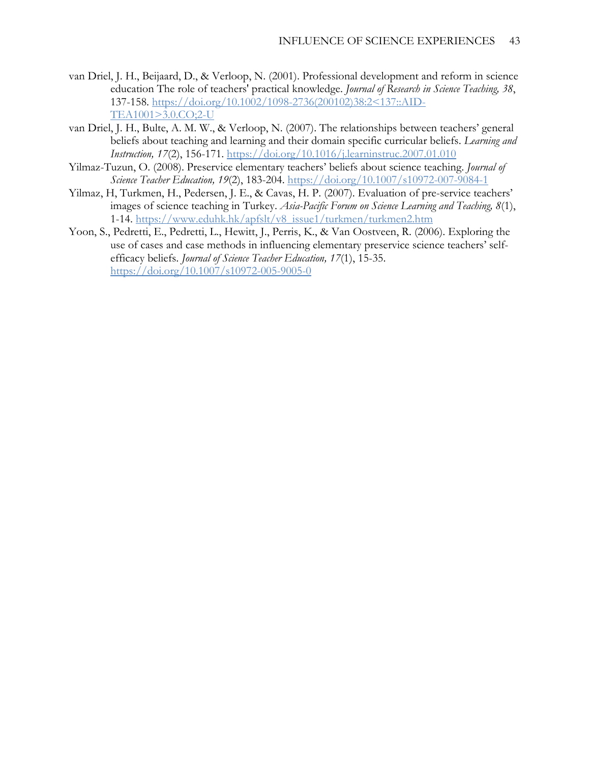- van Driel, J. H., Beijaard, D., & Verloop, N. (2001). Professional development and reform in science education The role of teachers' practical knowledge. *Journal of Research in Science Teaching, 38*, 137-158. [https://doi.org/10.1002/1098-2736\(200102\)38:2<137::AID-](https://doi.org/10.1002/1098-2736(200102)38:2%3C137::AID-TEA1001%3E3.0.CO;2-U)[TEA1001>3.0.CO;2-U](https://doi.org/10.1002/1098-2736(200102)38:2%3C137::AID-TEA1001%3E3.0.CO;2-U)
- van Driel, J. H., Bulte, A. M. W., & Verloop, N. (2007). The relationships between teachers' general beliefs about teaching and learning and their domain specific curricular beliefs. *Learning and Instruction, 17*(2), 156-171.<https://doi.org/10.1016/j.learninstruc.2007.01.010>
- Yilmaz-Tuzun, O. (2008). Preservice elementary teachers' beliefs about science teaching. *Journal of Science Teacher Education, 19*(2), 183-204.<https://doi.org/10.1007/s10972-007-9084-1>
- Yilmaz, H, Turkmen, H., Pedersen, J. E., & Cavas, H. P. (2007). Evaluation of pre-service teachers' images of science teaching in Turkey. *Asia-Pacific Forum on Science Learning and Teaching, 8*(1), 1-14. [https://www.eduhk.hk/apfslt/v8\\_issue1/turkmen/turkmen2.htm](https://www.eduhk.hk/apfslt/v8_issue1/turkmen/turkmen2.htm)
- Yoon, S., Pedretti, E., Pedretti, L., Hewitt, J., Perris, K., & Van Oostveen, R. (2006). Exploring the use of cases and case methods in influencing elementary preservice science teachers' selfefficacy beliefs. *Journal of Science Teacher Education, 17*(1), 15-35. <https://doi.org/10.1007/s10972-005-9005-0>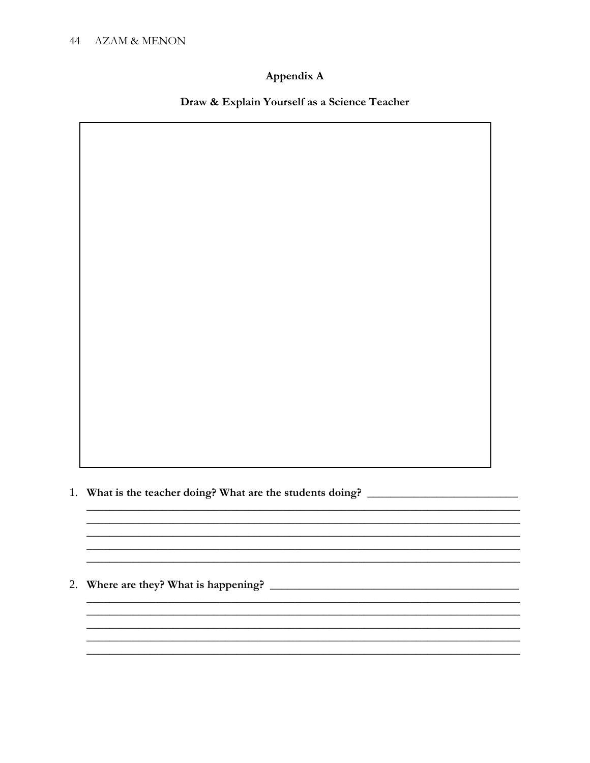# Appendix A

# Draw & Explain Yourself as a Science Teacher

<u> 1990 - Johann John Stoff, deutscher Stoffen und der Stoffen und der Stoffen und der Stoffen und der Stoffen</u>

1. What is the teacher doing? What are the students doing? \_\_\_\_\_\_\_\_\_\_\_\_\_\_\_\_\_\_\_\_\_